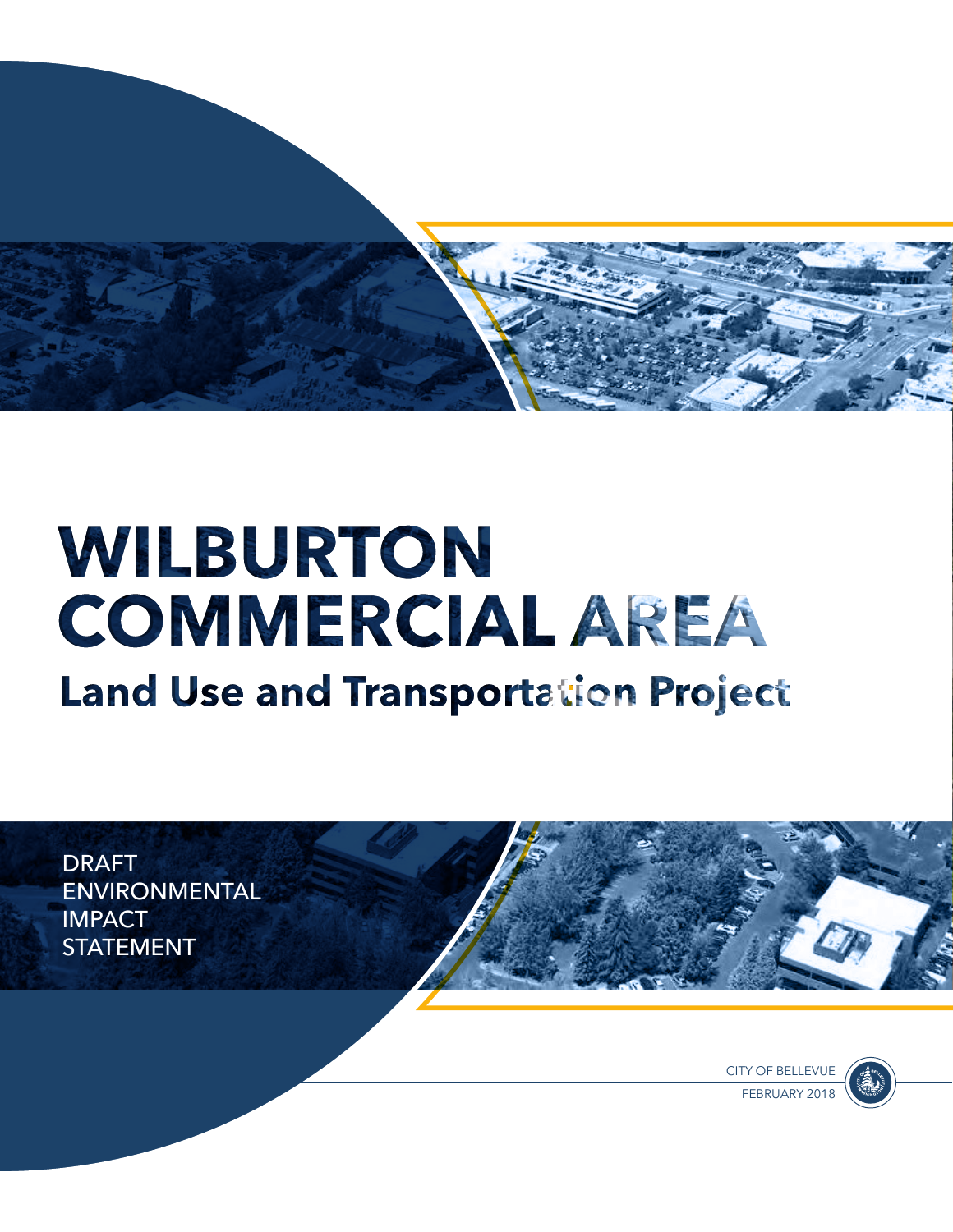

# WILBURTON **COMMERCIAL AREA Land Use and Transportation Project**

<span id="page-0-0"></span>DRAFT ENVIRONMENTAL **IMPACT STATEMENT** 

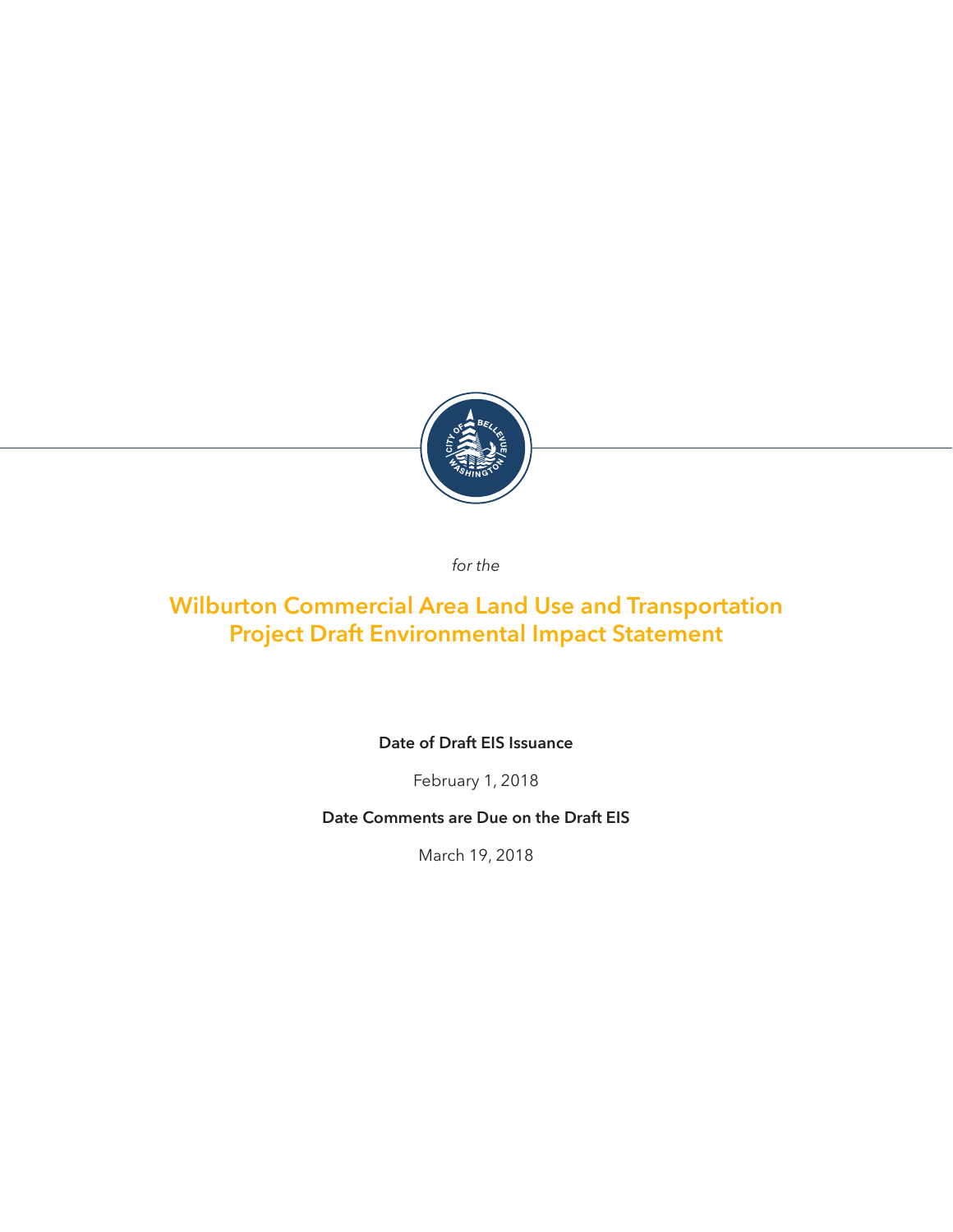<span id="page-2-0"></span>

*for the*

# **Wilburton Commercial Area Land Use and Transportation Project Draft Environmental Impact Statement**

**Date of Draft EIS Issuance**

February 1, 2018

**Date Comments are Due on the Draft EIS**

March 19, 2018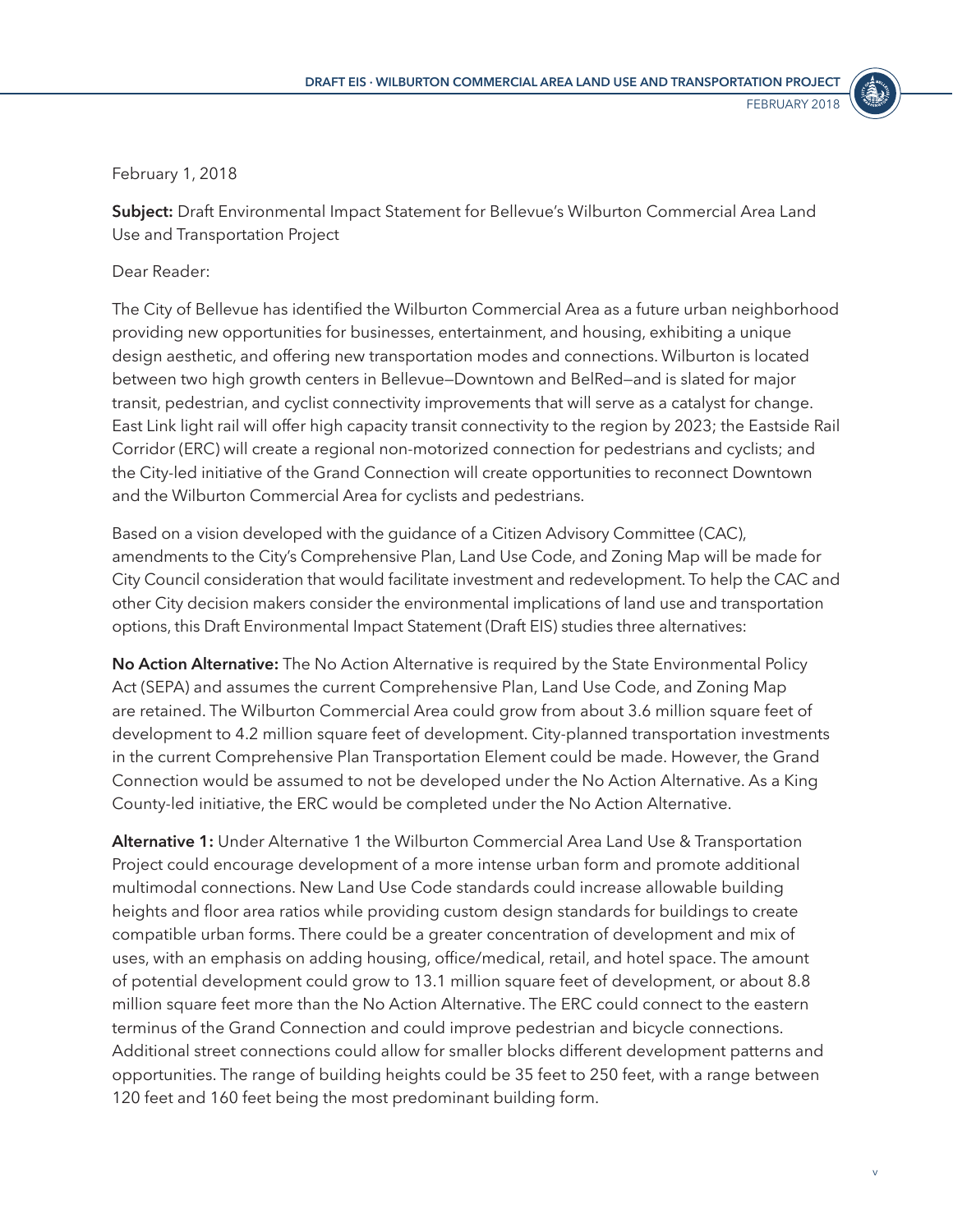

#### <span id="page-4-0"></span>February 1, 2018

**Subject:** Draft Environmental Impact Statement for Bellevue's Wilburton Commercial Area Land Use and Transportation Project

#### Dear Reader:

The City of Bellevue has identified the Wilburton Commercial Area as a future urban neighborhood providing new opportunities for businesses, entertainment, and housing, exhibiting a unique design aesthetic, and offering new transportation modes and connections. Wilburton is located between two high growth centers in Bellevue—Downtown and BelRed—and is slated for major transit, pedestrian, and cyclist connectivity improvements that will serve as a catalyst for change. East Link light rail will offer high capacity transit connectivity to the region by 2023; the Eastside Rail Corridor (ERC) will create a regional non-motorized connection for pedestrians and cyclists; and the City-led initiative of the Grand Connection will create opportunities to reconnect Downtown and the Wilburton Commercial Area for cyclists and pedestrians.

Based on a vision developed with the guidance of a Citizen Advisory Committee (CAC), amendments to the City's Comprehensive Plan, Land Use Code, and Zoning Map will be made for City Council consideration that would facilitate investment and redevelopment. To help the CAC and other City decision makers consider the environmental implications of land use and transportation options, this Draft Environmental Impact Statement (Draft EIS) studies three alternatives:

**No Action Alternative:** The No Action Alternative is required by the State Environmental Policy Act (SEPA) and assumes the current Comprehensive Plan, Land Use Code, and Zoning Map are retained. The Wilburton Commercial Area could grow from about 3.6 million square feet of development to 4.2 million square feet of development. City-planned transportation investments in the current Comprehensive Plan Transportation Element could be made. However, the Grand Connection would be assumed to not be developed under the No Action Alternative. As a King County-led initiative, the ERC would be completed under the No Action Alternative.

**Alternative 1:** Under Alternative 1 the Wilburton Commercial Area Land Use & Transportation Project could encourage development of a more intense urban form and promote additional multimodal connections. New Land Use Code standards could increase allowable building heights and floor area ratios while providing custom design standards for buildings to create compatible urban forms. There could be a greater concentration of development and mix of uses, with an emphasis on adding housing, office/medical, retail, and hotel space. The amount of potential development could grow to 13.1 million square feet of development, or about 8.8 million square feet more than the No Action Alternative. The ERC could connect to the eastern terminus of the Grand Connection and could improve pedestrian and bicycle connections. Additional street connections could allow for smaller blocks different development patterns and opportunities. The range of building heights could be 35 feet to 250 feet, with a range between 120 feet and 160 feet being the most predominant building form.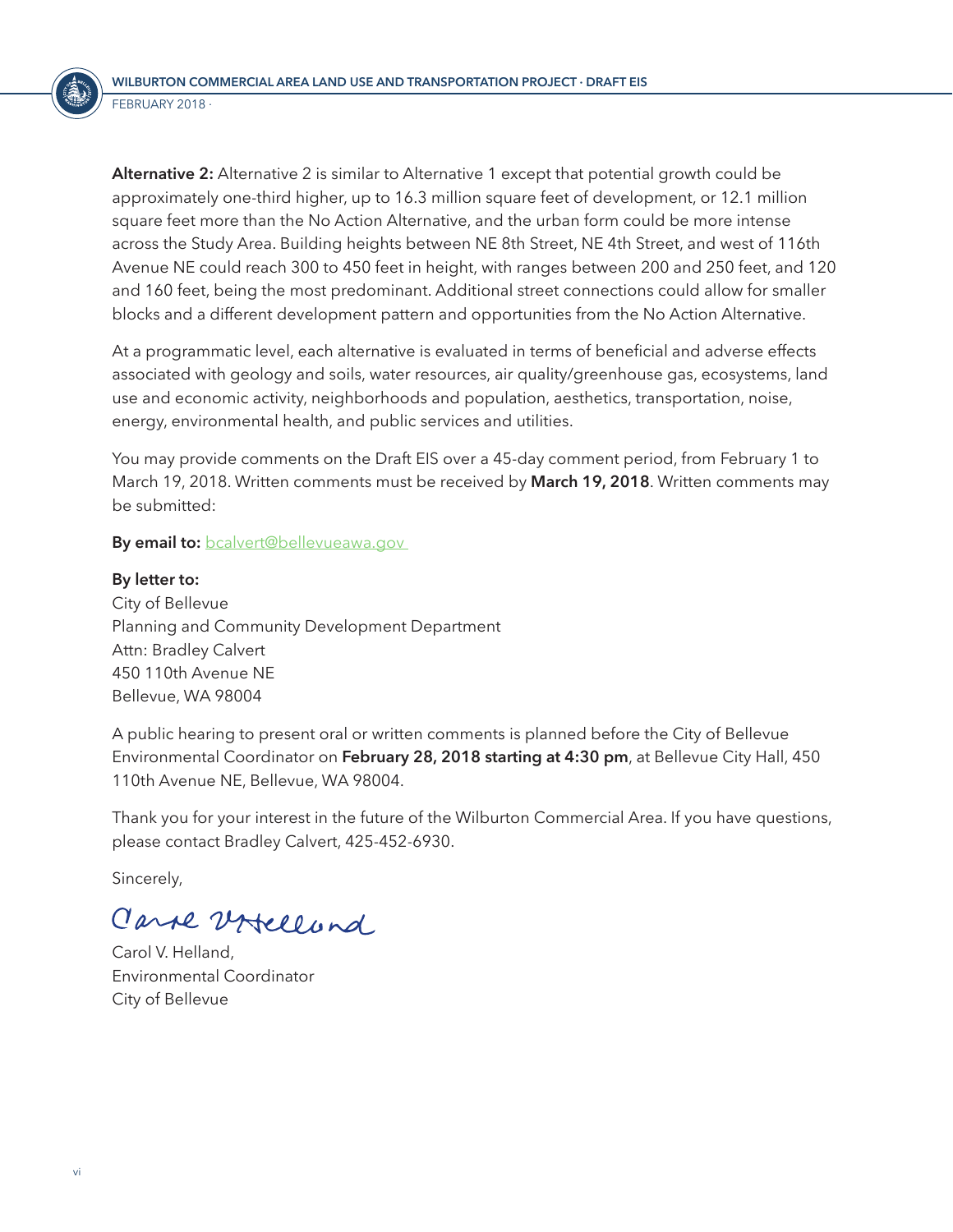<span id="page-5-0"></span>**Alternative 2:** Alternative 2 is similar to Alternative 1 except that potential growth could be approximately one-third higher, up to 16.3 million square feet of development, or 12.1 million square feet more than the No Action Alternative, and the urban form could be more intense across the Study Area. Building heights between NE 8th Street, NE 4th Street, and west of 116th Avenue NE could reach 300 to 450 feet in height, with ranges between 200 and 250 feet, and 120 and 160 feet, being the most predominant. Additional street connections could allow for smaller blocks and a different development pattern and opportunities from the No Action Alternative.

At a programmatic level, each alternative is evaluated in terms of beneficial and adverse effects associated with geology and soils, water resources, air quality/greenhouse gas, ecosystems, land use and economic activity, neighborhoods and population, aesthetics, transportation, noise, energy, environmental health, and public services and utilities.

You may provide comments on the Draft EIS over a 45-day comment period, from February 1 to March 19, 2018. Written comments must be received by **March 19, 2018**. Written comments may be submitted:

**By email to:** bcalvert@bellevueawa.gov

**By letter to:** City of Bellevue Planning and Community Development Department Attn: Bradley Calvert 450 110th Avenue NE Bellevue, WA 98004

A public hearing to present oral or written comments is planned before the City of Bellevue Environmental Coordinator on **February 28, 2018 starting at 4:30 pm**, at Bellevue City Hall, 450 110th Avenue NE, Bellevue, WA 98004.

Thank you for your interest in the future of the Wilburton Commercial Area. If you have questions, please contact Bradley Calvert, 425-452-6930.

Sincerely,

Carse Urtellund

Carol V. Helland, Environmental Coordinator City of Bellevue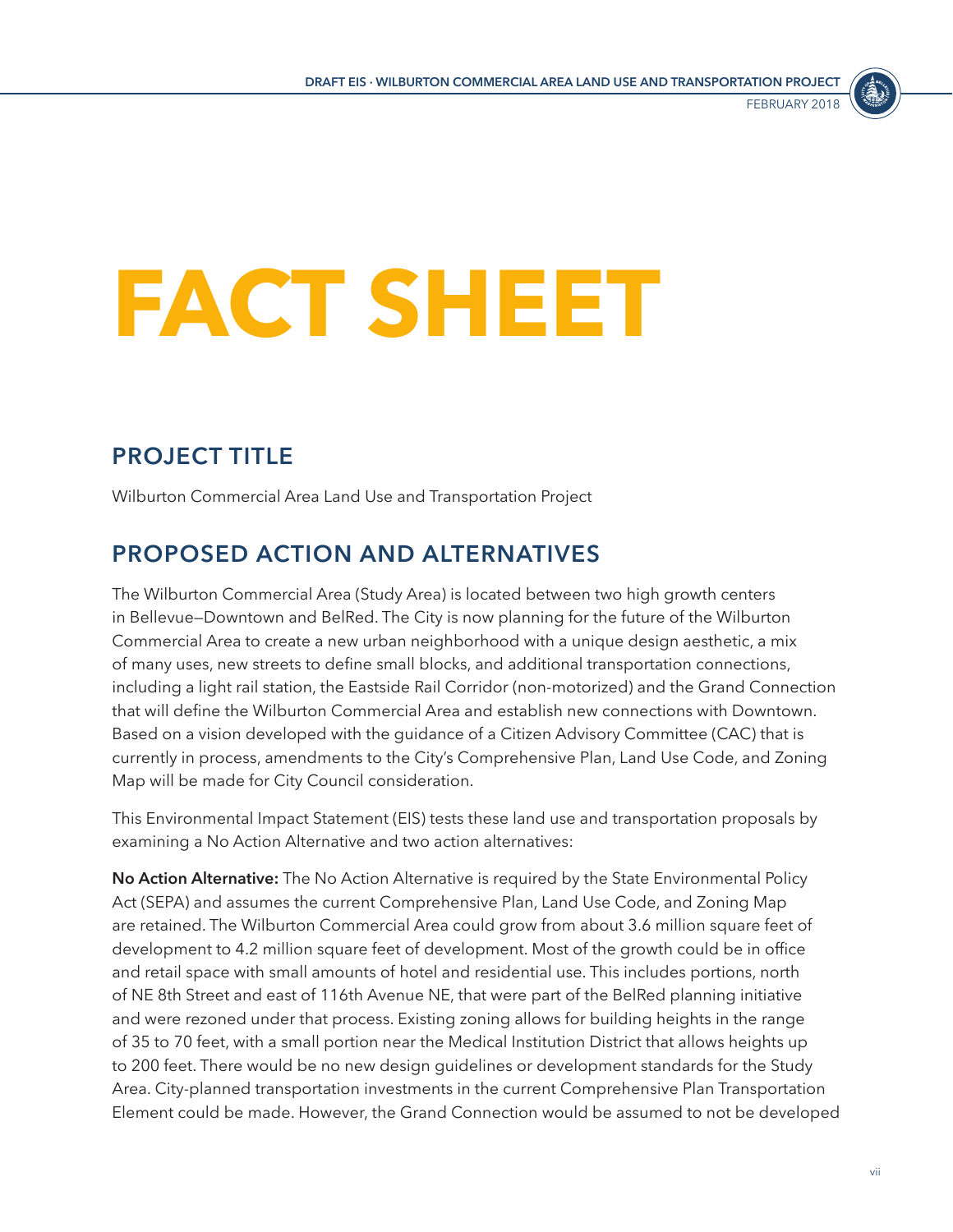

# <span id="page-6-0"></span>**FACT SHEET**

# **PROJECT TITLE**

Wilburton Commercial Area Land Use and Transportation Project

# **PROPOSED ACTION AND ALTERNATIVES**

The Wilburton Commercial Area (Study Area) is located between two high growth centers in Bellevue—Downtown and BelRed. The City is now planning for the future of the Wilburton Commercial Area to create a new urban neighborhood with a unique design aesthetic, a mix of many uses, new streets to define small blocks, and additional transportation connections, including a light rail station, the Eastside Rail Corridor (non-motorized) and the Grand Connection that will define the Wilburton Commercial Area and establish new connections with Downtown. Based on a vision developed with the guidance of a Citizen Advisory Committee (CAC) that is currently in process, amendments to the City's Comprehensive Plan, Land Use Code, and Zoning Map will be made for City Council consideration.

This Environmental Impact Statement (EIS) tests these land use and transportation proposals by examining a No Action Alternative and two action alternatives:

**No Action Alternative:** The No Action Alternative is required by the State Environmental Policy Act (SEPA) and assumes the current Comprehensive Plan, Land Use Code, and Zoning Map are retained. The Wilburton Commercial Area could grow from about 3.6 million square feet of development to 4.2 million square feet of development. Most of the growth could be in office and retail space with small amounts of hotel and residential use. This includes portions, north of NE 8th Street and east of 116th Avenue NE, that were part of the BelRed planning initiative and were rezoned under that process. Existing zoning allows for building heights in the range of 35 to 70 feet, with a small portion near the Medical Institution District that allows heights up to 200 feet. There would be no new design guidelines or development standards for the Study Area. City-planned transportation investments in the current Comprehensive Plan Transportation Element could be made. However, the Grand Connection would be assumed to not be developed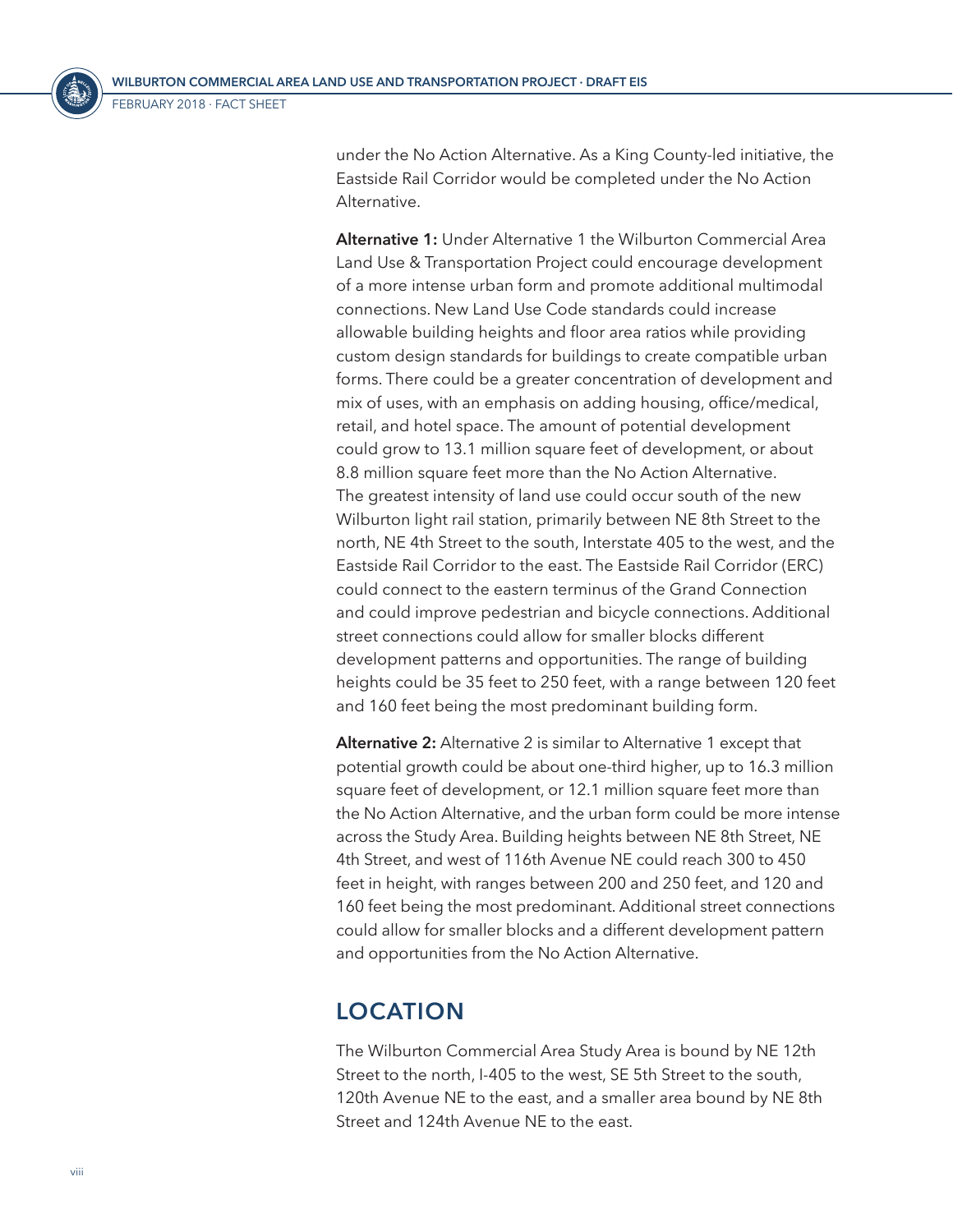<span id="page-7-0"></span>

under the No Action Alternative. As a King County-led initiative, the Eastside Rail Corridor would be completed under the No Action Alternative.

**Alternative 1:** Under Alternative 1 the Wilburton Commercial Area Land Use & Transportation Project could encourage development of a more intense urban form and promote additional multimodal connections. New Land Use Code standards could increase allowable building heights and floor area ratios while providing custom design standards for buildings to create compatible urban forms. There could be a greater concentration of development and mix of uses, with an emphasis on adding housing, office/medical, retail, and hotel space. The amount of potential development could grow to 13.1 million square feet of development, or about 8.8 million square feet more than the No Action Alternative. The greatest intensity of land use could occur south of the new Wilburton light rail station, primarily between NE 8th Street to the north, NE 4th Street to the south, Interstate 405 to the west, and the Eastside Rail Corridor to the east. The Eastside Rail Corridor (ERC) could connect to the eastern terminus of the Grand Connection and could improve pedestrian and bicycle connections. Additional street connections could allow for smaller blocks different development patterns and opportunities. The range of building heights could be 35 feet to 250 feet, with a range between 120 feet and 160 feet being the most predominant building form.

**Alternative 2:** Alternative 2 is similar to Alternative 1 except that potential growth could be about one-third higher, up to 16.3 million square feet of development, or 12.1 million square feet more than the No Action Alternative, and the urban form could be more intense across the Study Area. Building heights between NE 8th Street, NE 4th Street, and west of 116th Avenue NE could reach 300 to 450 feet in height, with ranges between 200 and 250 feet, and 120 and 160 feet being the most predominant. Additional street connections could allow for smaller blocks and a different development pattern and opportunities from the No Action Alternative.

# **LOCATION**

The Wilburton Commercial Area Study Area is bound by NE 12th Street to the north, I-405 to the west, SE 5th Street to the south, 120th Avenue NE to the east, and a smaller area bound by NE 8th Street and 124th Avenue NE to the east.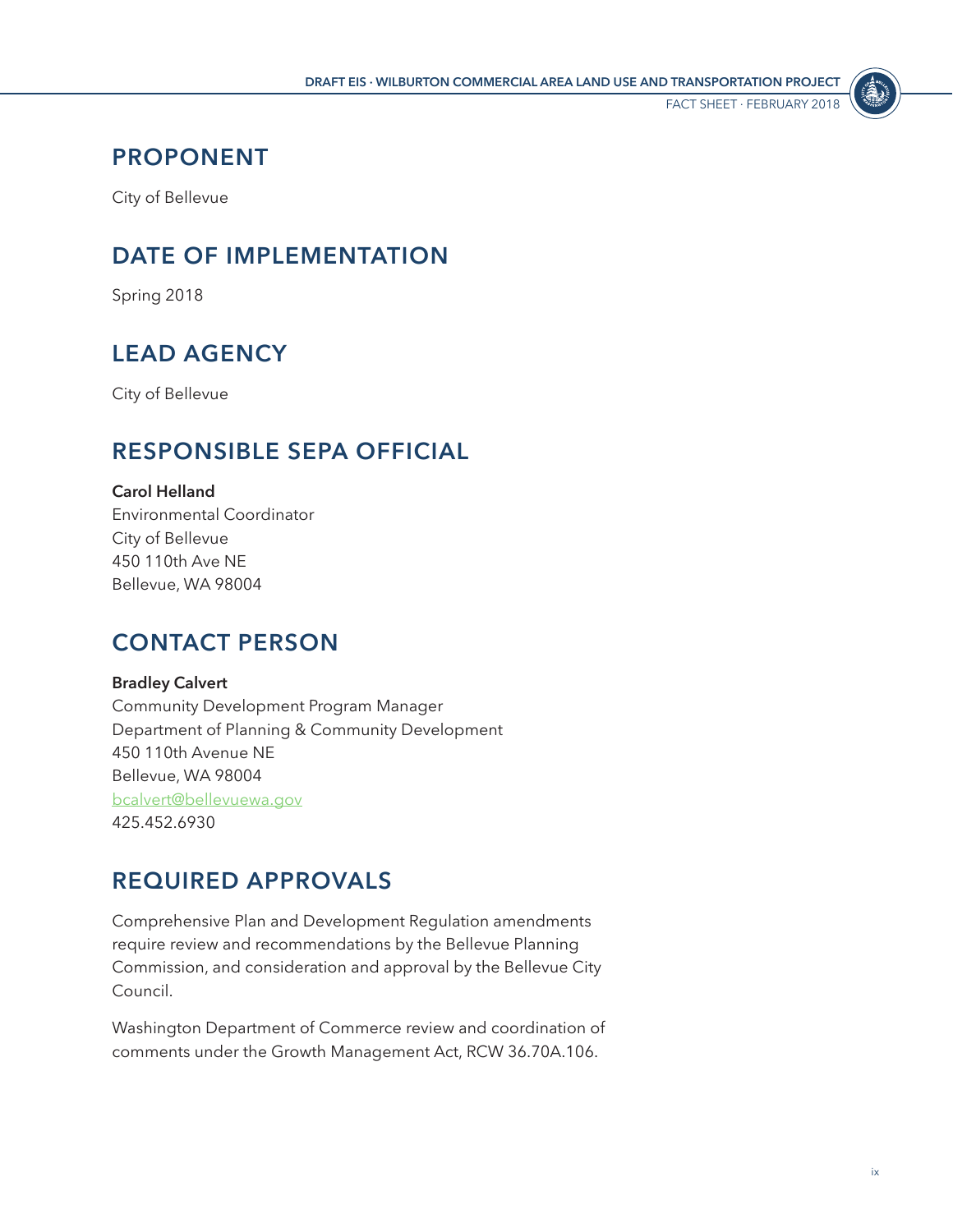

# <span id="page-8-0"></span>**PROPONENT**

City of Bellevue

# **DATE OF IMPLEMENTATION**

Spring 2018

# **LEAD AGENCY**

City of Bellevue

# **RESPONSIBLE SEPA OFFICIAL**

#### **Carol Helland**

Environmental Coordinator City of Bellevue 450 110th Ave NE Bellevue, WA 98004

# **CONTACT PERSON**

#### **Bradley Calvert**

Community Development Program Manager Department of Planning & Community Development 450 110th Avenue NE Bellevue, WA 98004 [bcalvert@bellevuewa.gov](mailto:bcalvert%40bellevuewa.gov?subject=) 425.452.6930

# **REQUIRED APPROVALS**

Comprehensive Plan and Development Regulation amendments require review and recommendations by the Bellevue Planning Commission, and consideration and approval by the Bellevue City Council.

Washington Department of Commerce review and coordination of comments under the Growth Management Act, RCW 36.70A.106.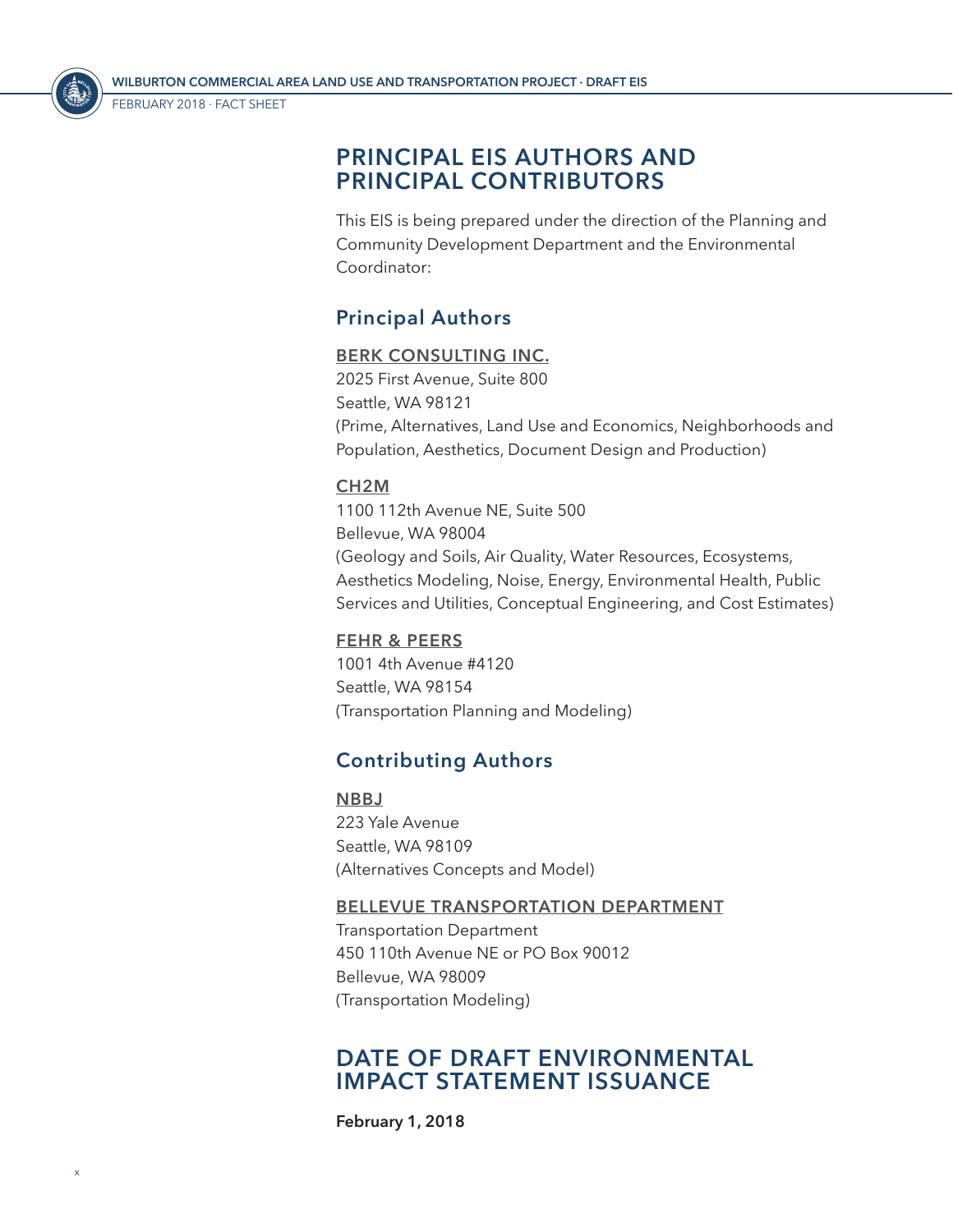FEBRUARY 2018 ⋅ Fact Sheet

<span id="page-9-0"></span>

### **PRINCIPAL EIS AUTHORS AND PRINCIPAL CONTRIBUTORS**

This EIS is being prepared under the direction of the Planning and Community Development Department and the Environmental Coordinator:

### **Principal Authors**

#### **BERK CONSULTING INC.**

2025 First Avenue, Suite 800 Seattle, WA 98121 (Prime, Alternatives, Land Use and Economics, Neighborhoods and Population, Aesthetics, Document Design and Production)

#### **CH2M**

1100 112th Avenue NE, Suite 500 Bellevue, WA 98004 (Geology and Soils, Air Quality, Water Resources, Ecosystems, Aesthetics Modeling, Noise, Energy, Environmental Health, Public Services and Utilities, Conceptual Engineering, and Cost Estimates)

#### **FEHR & PEERS**

1001 4th Avenue #4120 Seattle, WA 98154 (Transportation Planning and Modeling)

### **Contributing Authors**

**NBBJ** 223 Yale Avenue Seattle, WA 98109 (Alternatives Concepts and Model)

#### **BELLEVUE TRANSPORTATION DEPARTMENT**

Transportation Department 450 110th Avenue NE or PO Box 90012 Bellevue, WA 98009 (Transportation Modeling)

### **DATE OF DRAFT ENVIRONMENTAL IMPACT STATEMENT ISSUANCE**

**February 1, 2018**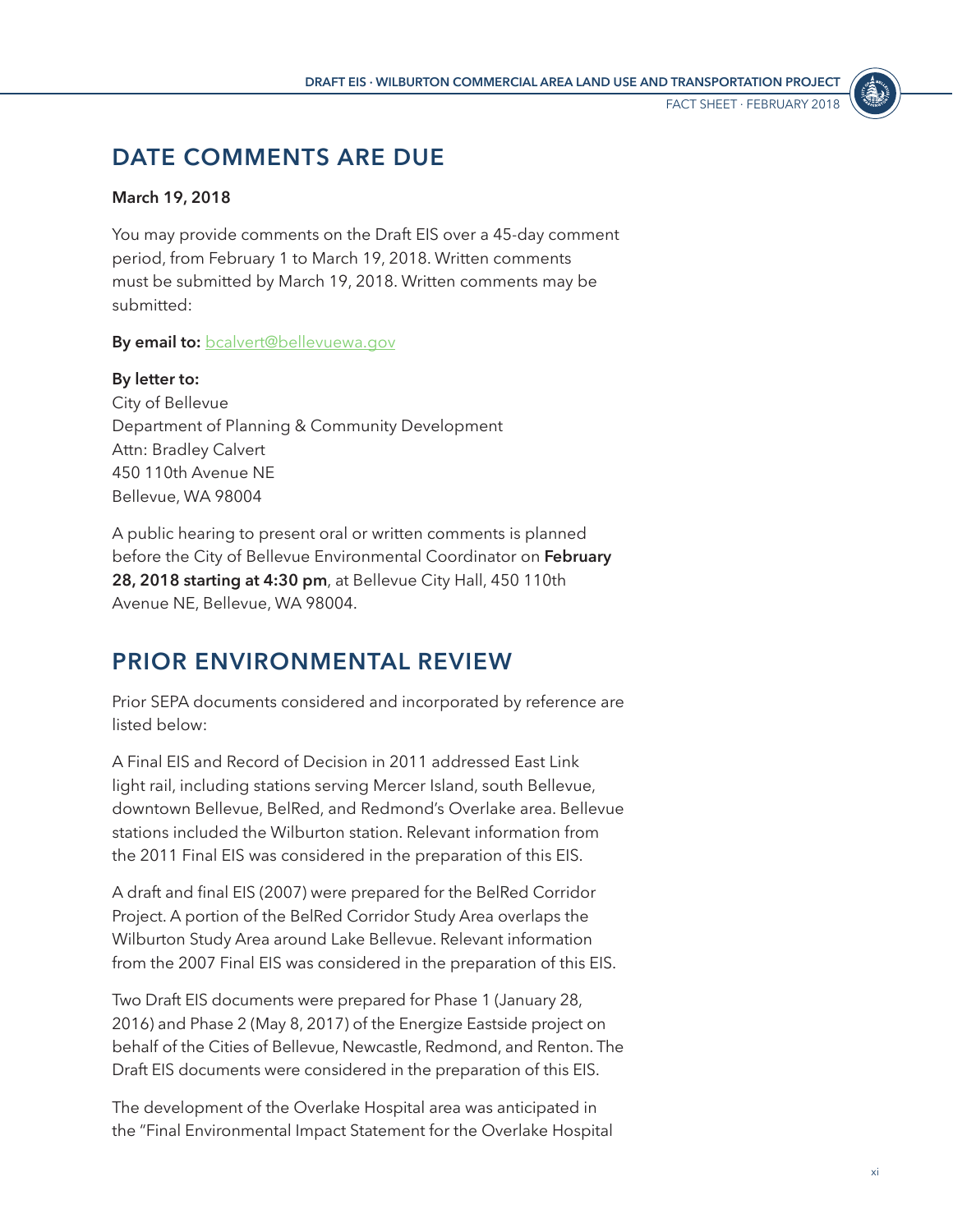Fact Sheet ⋅ FEBRUARY 2018

# <span id="page-10-0"></span>**DATE COMMENTS ARE DUE**

#### **March 19, 2018**

You may provide comments on the Draft EIS over a 45-day comment period, from February 1 to March 19, 2018. Written comments must be submitted by March 19, 2018. Written comments may be submitted:

**By email to:** [bcalvert@bellevuewa.gov](mailto:bcalvert%40bellevuewa.gov?subject=)

**By letter to:** City of Bellevue Department of Planning & Community Development Attn: Bradley Calvert 450 110th Avenue NE Bellevue, WA 98004

A public hearing to present oral or written comments is planned before the City of Bellevue Environmental Coordinator on **February 28, 2018 starting at 4:30 pm**, at Bellevue City Hall, 450 110th Avenue NE, Bellevue, WA 98004.

# **PRIOR ENVIRONMENTAL REVIEW**

Prior SEPA documents considered and incorporated by reference are listed below:

A Final EIS and Record of Decision in 2011 addressed East Link light rail, including stations serving Mercer Island, south Bellevue, downtown Bellevue, BelRed, and Redmond's Overlake area. Bellevue stations included the Wilburton station. Relevant information from the 2011 Final EIS was considered in the preparation of this EIS.

A draft and final EIS (2007) were prepared for the BelRed Corridor Project. A portion of the BelRed Corridor Study Area overlaps the Wilburton Study Area around Lake Bellevue. Relevant information from the 2007 Final EIS was considered in the preparation of this EIS.

Two Draft EIS documents were prepared for Phase 1 (January 28, 2016) and Phase 2 (May 8, 2017) of the Energize Eastside project on behalf of the Cities of Bellevue, Newcastle, Redmond, and Renton. The Draft EIS documents were considered in the preparation of this EIS.

The development of the Overlake Hospital area was anticipated in the "Final Environmental Impact Statement for the Overlake Hospital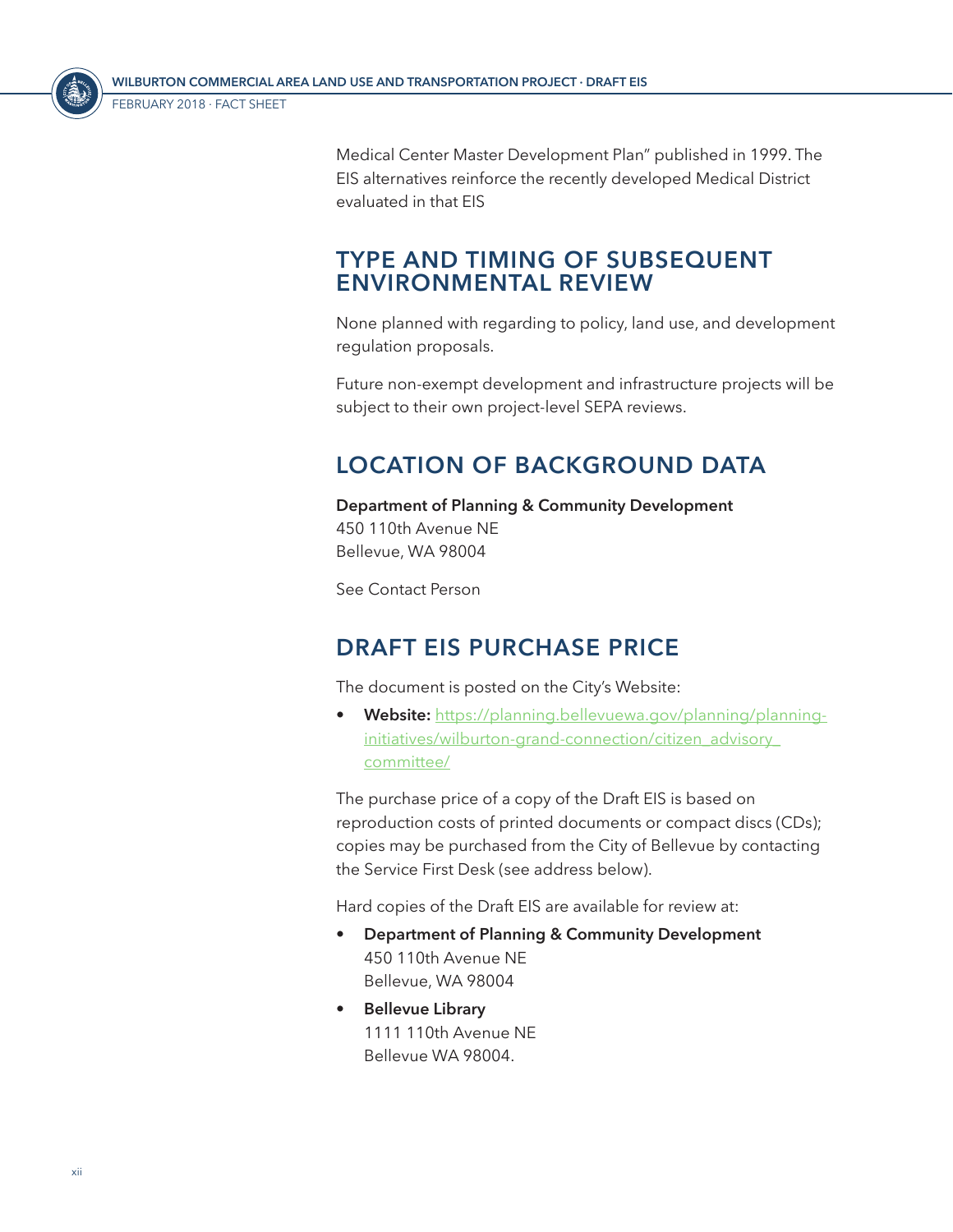<span id="page-11-0"></span>

Medical Center Master Development Plan" published in 1999. The EIS alternatives reinforce the recently developed Medical District evaluated in that EIS

# **TYPE AND TIMING OF SUBSEQUENT ENVIRONMENTAL REVIEW**

None planned with regarding to policy, land use, and development regulation proposals.

Future non-exempt development and infrastructure projects will be subject to their own project-level SEPA reviews.

# **LOCATION OF BACKGROUND DATA**

**Department of Planning & Community Development** 450 110th Avenue NE Bellevue, WA 98004

See Contact Person

# **DRAFT EIS PURCHASE PRICE**

The document is posted on the City's Website:

• **Website:** [https://planning.bellevuewa.gov/planning/planning](https://planning.bellevuewa.gov/planning/planning-initiatives/wilburton-grand-connection/citizen_advisory_committee/)[initiatives/wilburton-grand-connection/citizen\\_advisory\\_](https://planning.bellevuewa.gov/planning/planning-initiatives/wilburton-grand-connection/citizen_advisory_committee/) [committee/](https://planning.bellevuewa.gov/planning/planning-initiatives/wilburton-grand-connection/citizen_advisory_committee/)

The purchase price of a copy of the Draft EIS is based on reproduction costs of printed documents or compact discs (CDs); copies may be purchased from the City of Bellevue by contacting the Service First Desk (see address below).

Hard copies of the Draft EIS are available for review at:

- **Department of Planning & Community Development** 450 110th Avenue NE Bellevue, WA 98004
- **Bellevue Library** 1111 110th Avenue NE Bellevue WA 98004.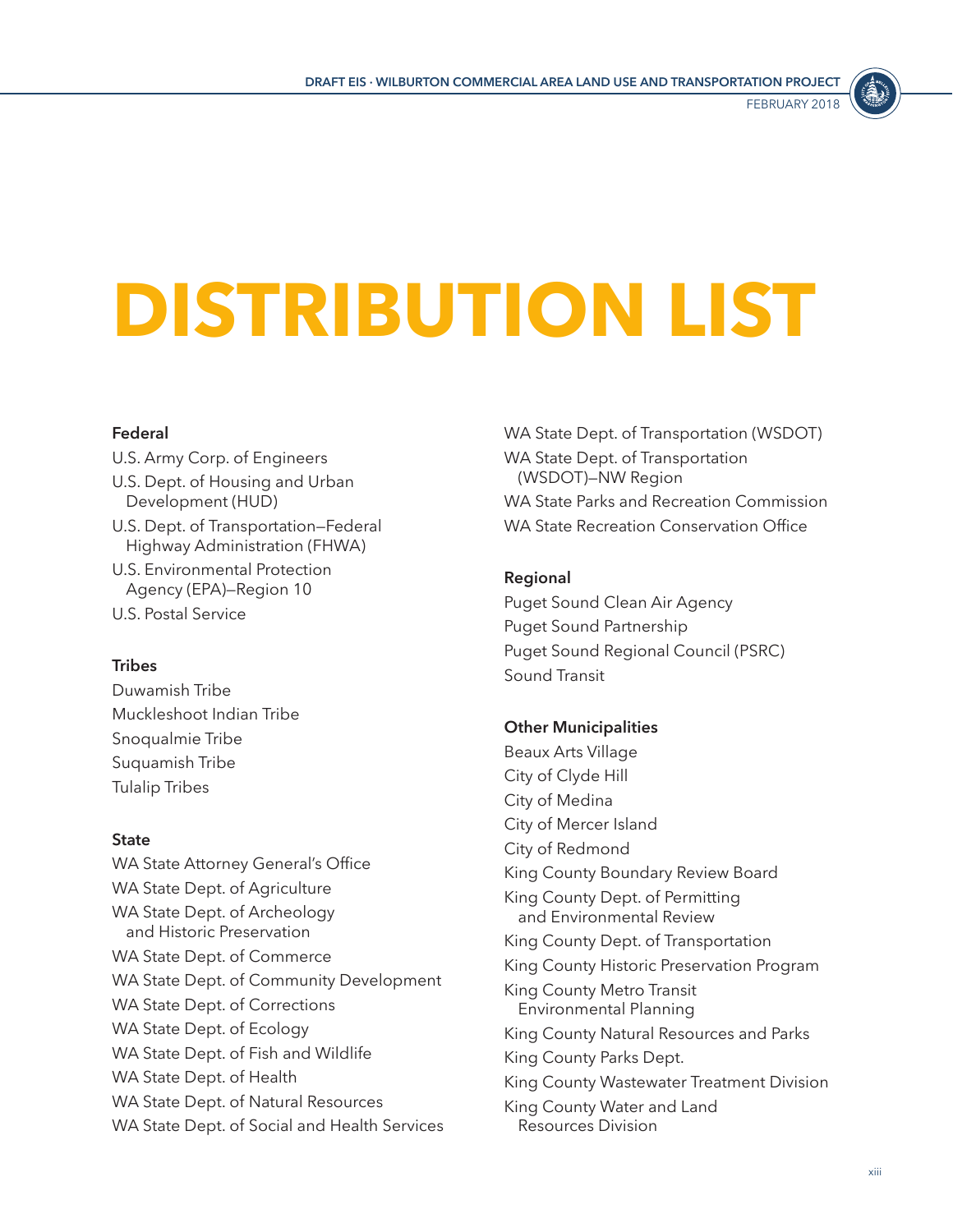

# <span id="page-12-0"></span>**DISTRIBUTION LIST**

#### **Federal**

U.S. Army Corp. of Engineers U.S. Dept. of Housing and Urban Development (HUD) U.S. Dept. of Transportation—Federal Highway Administration (FHWA)

- U.S. Environmental Protection Agency (EPA)—Region 10
- U.S. Postal Service

#### **Tribes**

Duwamish Tribe Muckleshoot Indian Tribe Snoqualmie Tribe Suquamish Tribe Tulalip Tribes

#### **State**

WA State Attorney General's Office WA State Dept. of Agriculture WA State Dept. of Archeology and Historic Preservation WA State Dept. of Commerce WA State Dept. of Community Development WA State Dept. of Corrections WA State Dept. of Ecology WA State Dept. of Fish and Wildlife WA State Dept. of Health WA State Dept. of Natural Resources WA State Dept. of Social and Health Services WA State Dept. of Transportation (WSDOT) WA State Dept. of Transportation (WSDOT)—NW Region WA State Parks and Recreation Commission WA State Recreation Conservation Office

#### **Regional**

Puget Sound Clean Air Agency Puget Sound Partnership Puget Sound Regional Council (PSRC) Sound Transit

#### **Other Municipalities**

Beaux Arts Village City of Clyde Hill City of Medina City of Mercer Island City of Redmond King County Boundary Review Board King County Dept. of Permitting and Environmental Review King County Dept. of Transportation King County Historic Preservation Program King County Metro Transit Environmental Planning King County Natural Resources and Parks King County Parks Dept. King County Wastewater Treatment Division King County Water and Land Resources Division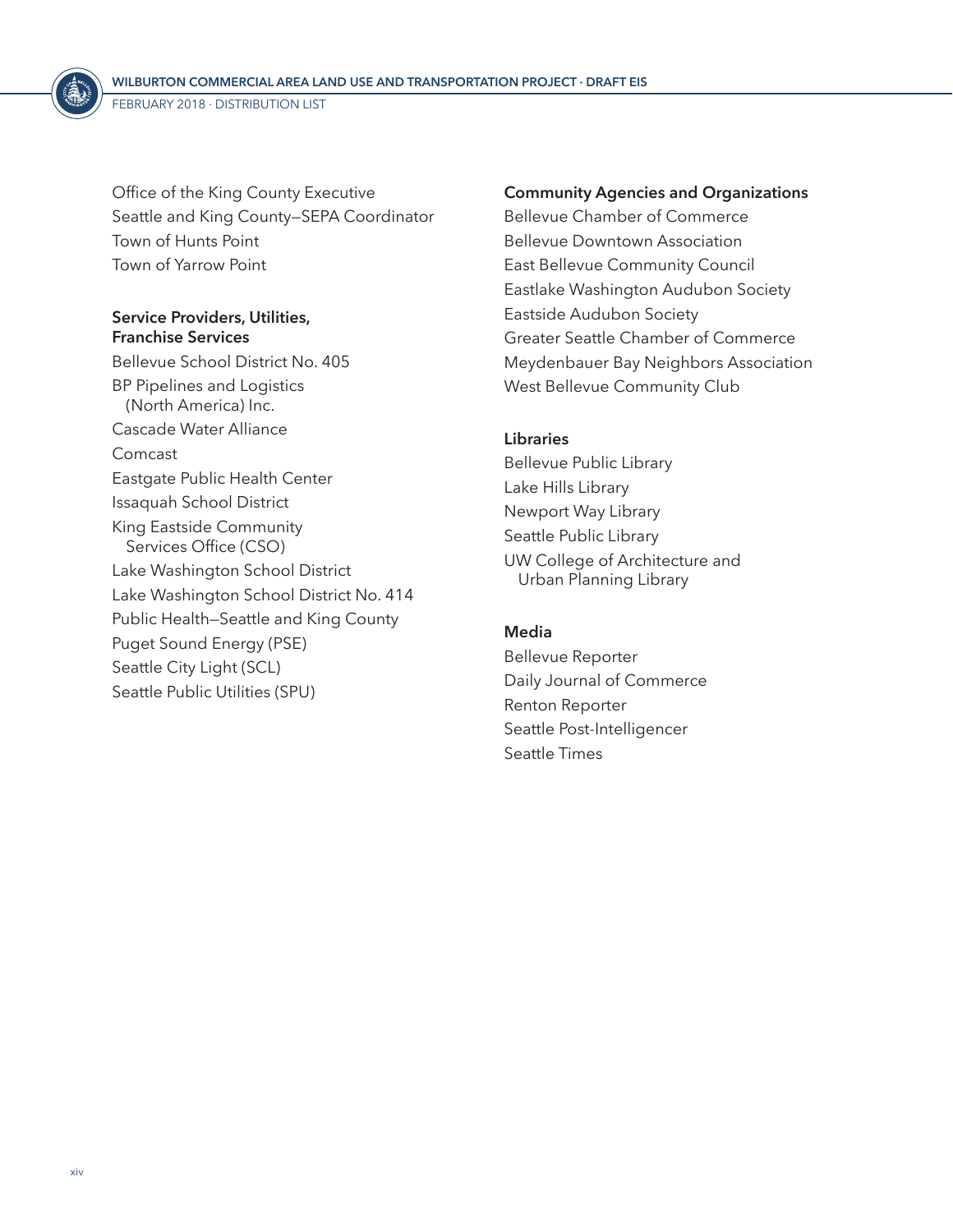<span id="page-13-0"></span>Office of the King County Executive Seattle and King County—SEPA Coordinator Town of Hunts Point Town of Yarrow Point

#### **Service Providers, Utilities, Franchise Services**

Bellevue School District No. 405 BP Pipelines and Logistics (North America) Inc. Cascade Water Alliance Comcast Eastgate Public Health Center Issaquah School District King Eastside Community Services Office (CSO) Lake Washington School District Lake Washington School District No. 414 Public Health—Seattle and King County Puget Sound Energy (PSE) Seattle City Light (SCL) Seattle Public Utilities (SPU)

#### **Community Agencies and Organizations**

Bellevue Chamber of Commerce Bellevue Downtown Association East Bellevue Community Council Eastlake Washington Audubon Society Eastside Audubon Society Greater Seattle Chamber of Commerce Meydenbauer Bay Neighbors Association West Bellevue Community Club

#### **Libraries**

Bellevue Public Library Lake Hills Library Newport Way Library Seattle Public Library UW College of Architecture and Urban Planning Library

#### **Media**

Bellevue Reporter Daily Journal of Commerce Renton Reporter Seattle Post-Intelligencer Seattle Times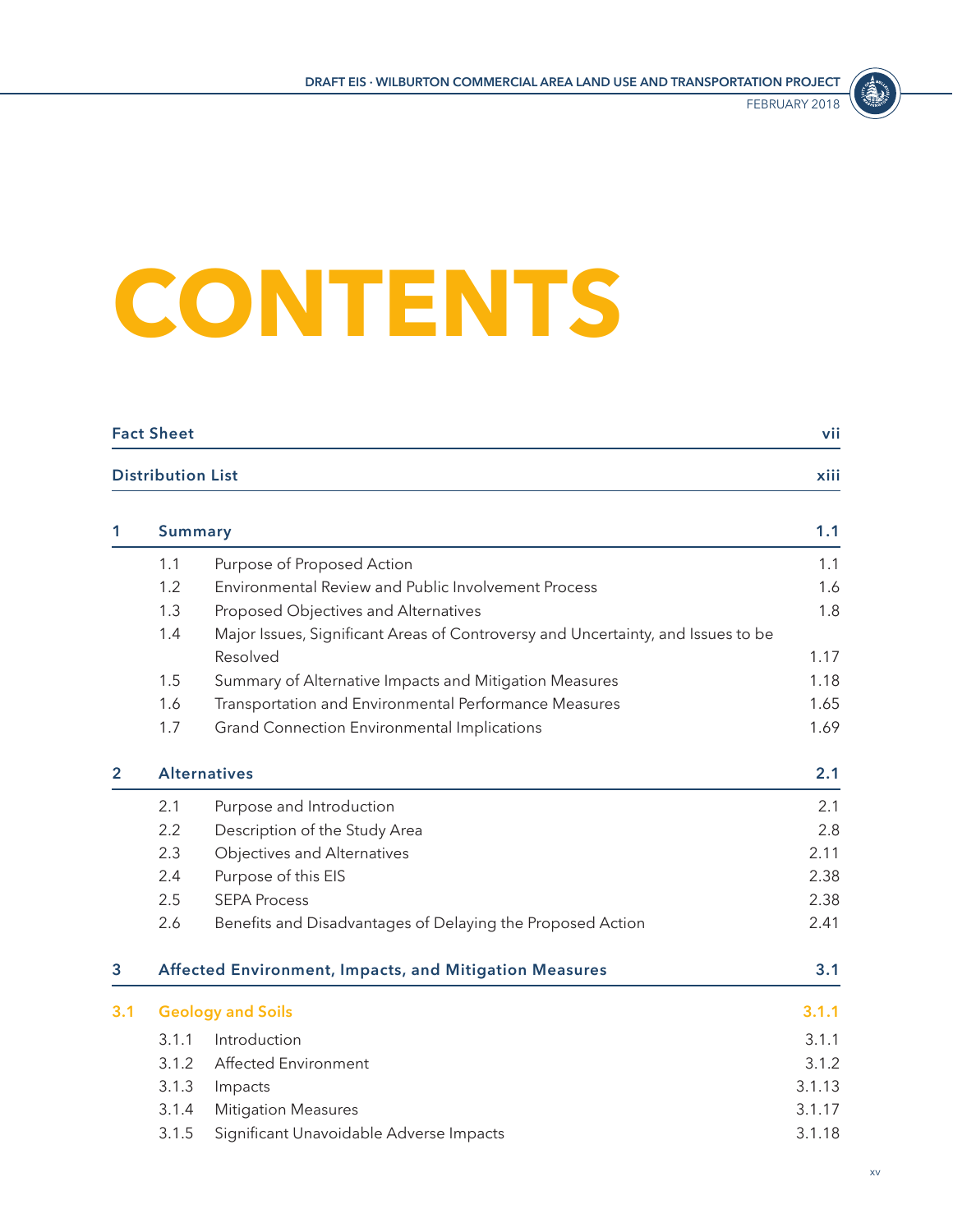

# <span id="page-14-0"></span>**CONTENTS**

|              | <b>Fact Sheet</b>        |                                                                                  | vii    |
|--------------|--------------------------|----------------------------------------------------------------------------------|--------|
|              | <b>Distribution List</b> |                                                                                  | xiii   |
| 1            | <b>Summary</b>           |                                                                                  | 1.1    |
|              | 1.1                      | Purpose of Proposed Action                                                       | 1.1    |
|              | 1.2                      | Environmental Review and Public Involvement Process                              | 1.6    |
|              | 1.3                      | Proposed Objectives and Alternatives                                             | 1.8    |
|              | 1.4                      | Major Issues, Significant Areas of Controversy and Uncertainty, and Issues to be |        |
|              |                          | Resolved                                                                         | 1.17   |
|              | 1.5                      | Summary of Alternative Impacts and Mitigation Measures                           | 1.18   |
|              | 1.6                      | Transportation and Environmental Performance Measures                            | 1.65   |
|              | 1.7                      | <b>Grand Connection Environmental Implications</b>                               | 1.69   |
| $\mathbf{2}$ |                          | <b>Alternatives</b>                                                              | 2.1    |
|              | 2.1                      | Purpose and Introduction                                                         | 2.1    |
|              | 2.2                      | Description of the Study Area                                                    | 2.8    |
|              | 2.3                      | Objectives and Alternatives                                                      | 2.11   |
|              | 2.4                      | Purpose of this EIS                                                              | 2.38   |
|              | 2.5                      | <b>SEPA Process</b>                                                              | 2.38   |
|              | 2.6                      | Benefits and Disadvantages of Delaying the Proposed Action                       | 2.41   |
| 3            |                          | Affected Environment, Impacts, and Mitigation Measures                           | 3.1    |
| 3.1          |                          | <b>Geology and Soils</b>                                                         | 3.1.1  |
|              | 3.1.1                    | Introduction                                                                     | 3.1.1  |
|              | 3.1.2                    | Affected Environment                                                             | 3.1.2  |
|              | 3.1.3                    | Impacts                                                                          | 3.1.13 |
|              | 3.1.4                    | <b>Mitigation Measures</b>                                                       | 3.1.17 |
|              | 3.1.5                    | Significant Unavoidable Adverse Impacts                                          | 3.1.18 |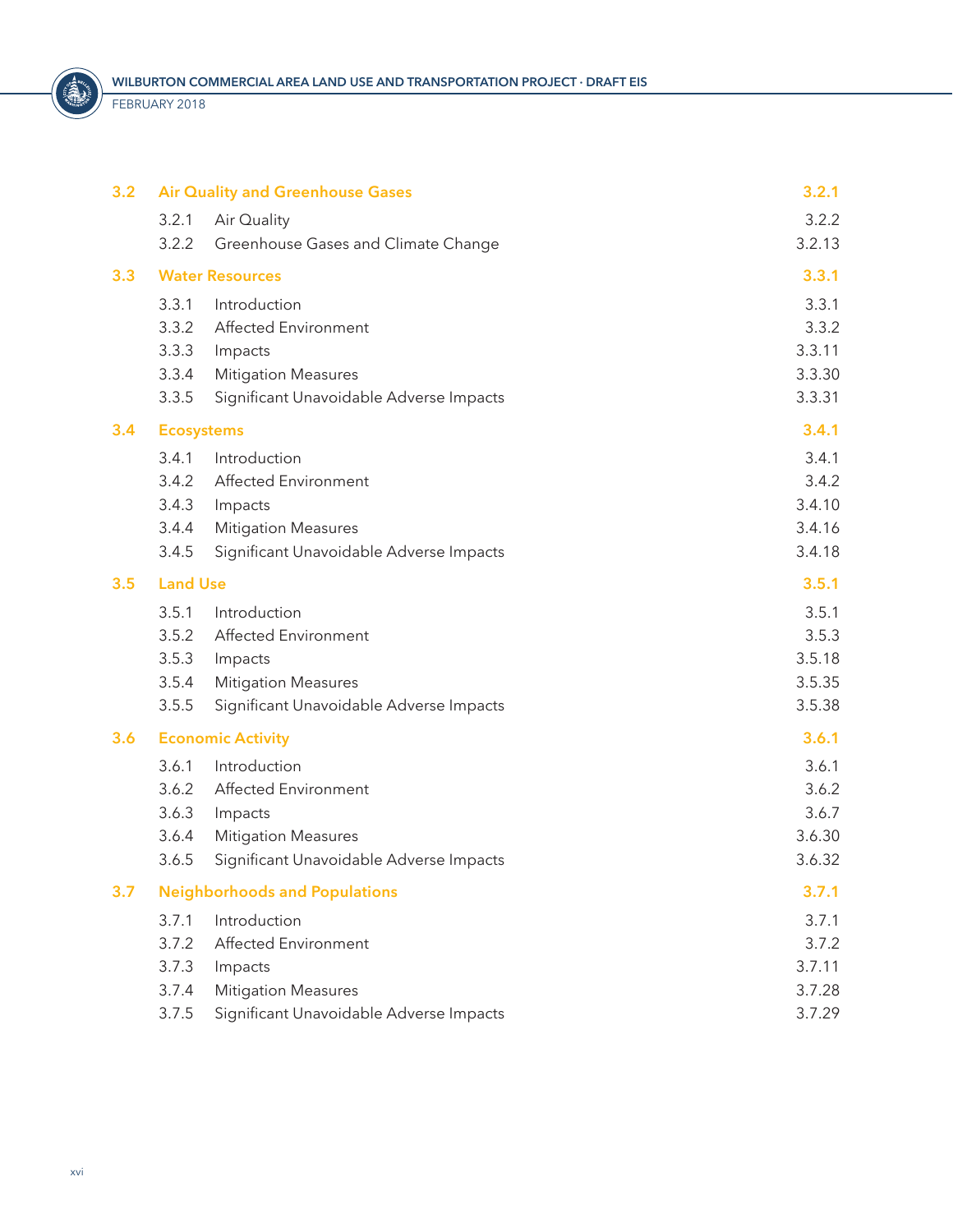<span id="page-15-0"></span>

FEBRUARY 2018

| 3.2 | <b>Air Quality and Greenhouse Gases</b>          | 3.2.1  |
|-----|--------------------------------------------------|--------|
|     | 3.2.1<br>Air Quality                             | 3.2.2  |
|     | 3.2.2<br>Greenhouse Gases and Climate Change     | 3.2.13 |
| 3.3 | <b>Water Resources</b>                           | 3.3.1  |
|     | 3.3.1<br>Introduction                            | 3.3.1  |
|     | Affected Environment<br>3.3.2                    | 3.3.2  |
|     | 3.3.3<br>Impacts                                 | 3.3.11 |
|     | 3.3.4<br><b>Mitigation Measures</b>              | 3.3.30 |
|     | 3.3.5<br>Significant Unavoidable Adverse Impacts | 3.3.31 |
| 3.4 | <b>Ecosystems</b>                                | 3.4.1  |
|     | 3.4.1<br>Introduction                            | 3.4.1  |
|     | Affected Environment<br>3.4.2                    | 3.4.2  |
|     | 3.4.3<br>Impacts                                 | 3.4.10 |
|     | 3.4.4<br><b>Mitigation Measures</b>              | 3.4.16 |
|     | 3.4.5<br>Significant Unavoidable Adverse Impacts | 3.4.18 |
| 3.5 | <b>Land Use</b>                                  | 3.5.1  |
|     | 3.5.1<br>Introduction                            | 3.5.1  |
|     | Affected Environment<br>3.5.2                    | 3.5.3  |
|     | 3.5.3<br>Impacts                                 | 3.5.18 |
|     | 3.5.4<br><b>Mitigation Measures</b>              | 3.5.35 |
|     | 3.5.5<br>Significant Unavoidable Adverse Impacts | 3.5.38 |
| 3.6 | <b>Economic Activity</b>                         | 3.6.1  |
|     | 3.6.1<br>Introduction                            | 3.6.1  |
|     | 3.6.2<br>Affected Environment                    | 3.6.2  |
|     | 3.6.3<br>Impacts                                 | 3.6.7  |
|     | 3.6.4<br><b>Mitigation Measures</b>              | 3.6.30 |
|     | 3.6.5<br>Significant Unavoidable Adverse Impacts | 3.6.32 |
| 3.7 | <b>Neighborhoods and Populations</b>             | 3.7.1  |
|     | Introduction<br>3.7.1                            | 3.7.1  |
|     | Affected Environment<br>3.7.2                    | 3.7.2  |
|     | 3.7.3<br>Impacts                                 | 3.7.11 |
|     | 3.7.4<br><b>Mitigation Measures</b>              | 3.7.28 |
|     | 3.7.5<br>Significant Unavoidable Adverse Impacts | 3.7.29 |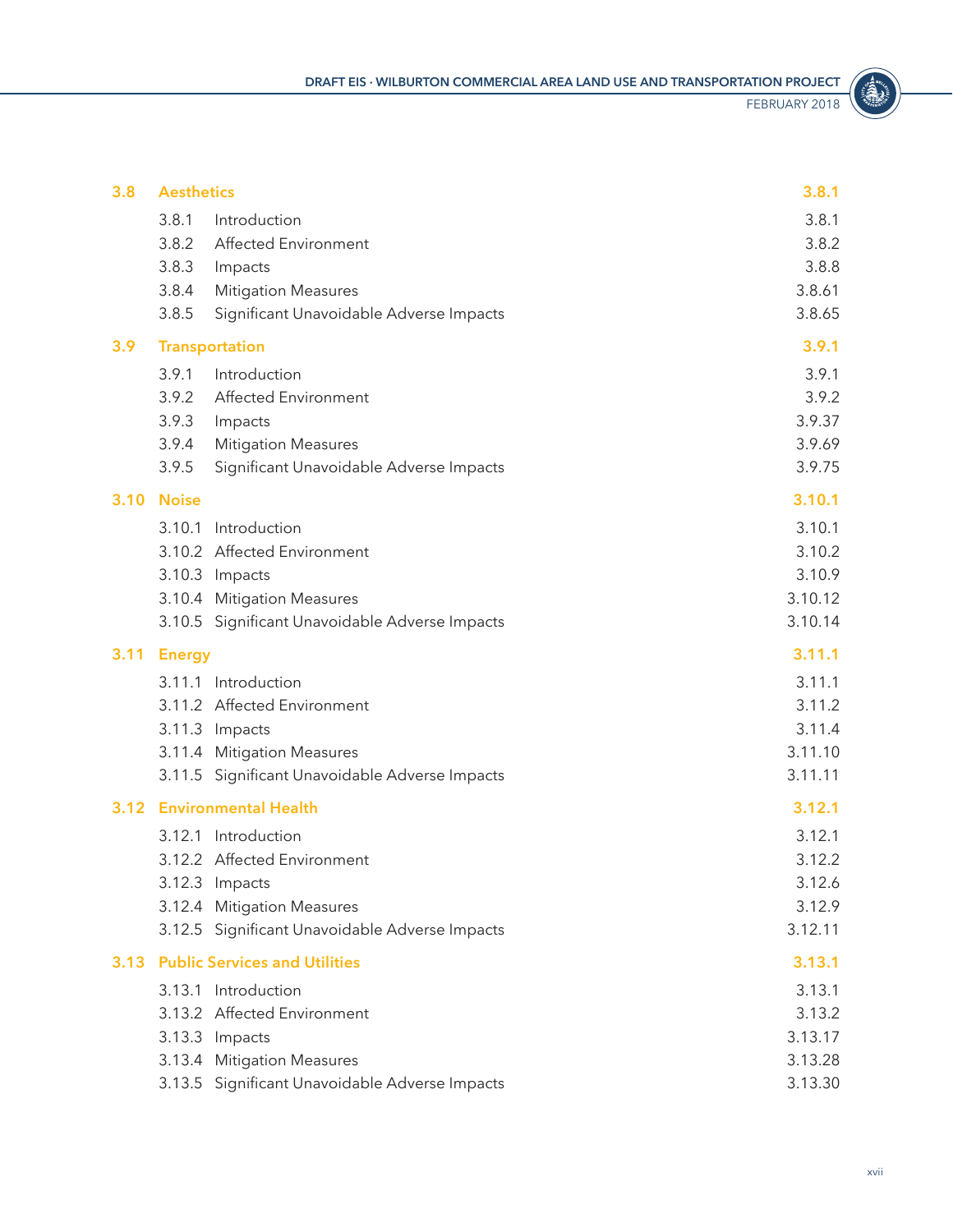S.

<span id="page-16-0"></span>

| 3.8  | <b>Aesthetics</b>                                | 3.8.1   |
|------|--------------------------------------------------|---------|
|      | 3.8.1<br>Introduction                            | 3.8.1   |
|      | 3.8.2<br>Affected Environment                    | 3.8.2   |
|      | 3.8.3<br>Impacts                                 | 3.8.8   |
|      | 3.8.4<br><b>Mitigation Measures</b>              | 3.8.61  |
|      | 3.8.5<br>Significant Unavoidable Adverse Impacts | 3.8.65  |
| 3.9  | <b>Transportation</b>                            | 3.9.1   |
|      | 3.9.1<br>Introduction                            | 3.9.1   |
|      | 3.9.2<br>Affected Environment                    | 3.9.2   |
|      | 3.9.3<br>Impacts                                 | 3.9.37  |
|      | 3.9.4<br><b>Mitigation Measures</b>              | 3.9.69  |
|      | 3.9.5<br>Significant Unavoidable Adverse Impacts | 3.9.75  |
| 3.10 | <b>Noise</b>                                     | 3.10.1  |
|      | Introduction<br>3.10.1                           | 3.10.1  |
|      | 3.10.2 Affected Environment                      | 3.10.2  |
|      | 3.10.3 Impacts                                   | 3.10.9  |
|      | 3.10.4 Mitigation Measures                       | 3.10.12 |
|      | 3.10.5 Significant Unavoidable Adverse Impacts   | 3.10.14 |
| 3.11 | <b>Energy</b>                                    | 3.11.1  |
|      |                                                  | 3.11.1  |
|      | 3.11.1 Introduction                              |         |
|      | 3.11.2 Affected Environment                      | 3.11.2  |
|      | 3.11.3 Impacts                                   | 3.11.4  |
|      | 3.11.4 Mitigation Measures                       | 3.11.10 |
|      | 3.11.5 Significant Unavoidable Adverse Impacts   | 3.11.11 |
| 3.12 | <b>Environmental Health</b>                      | 3.12.1  |
|      | 3.12.1 Introduction                              | 3.12.1  |
|      | 3.12.2 Affected Environment                      | 3.12.2  |
|      | 3.12.3 Impacts                                   | 3.12.6  |
|      | 3.12.4 Mitigation Measures                       | 3.12.9  |
|      | 3.12.5 Significant Unavoidable Adverse Impacts   | 3.12.11 |
| 3.13 | <b>Public Services and Utilities</b>             | 3.13.1  |
|      | 3.13.1 Introduction                              | 3.13.1  |
|      | 3.13.2 Affected Environment                      | 3.13.2  |
|      | 3.13.3 Impacts                                   | 3.13.17 |
|      | 3.13.4 Mitigation Measures                       | 3.13.28 |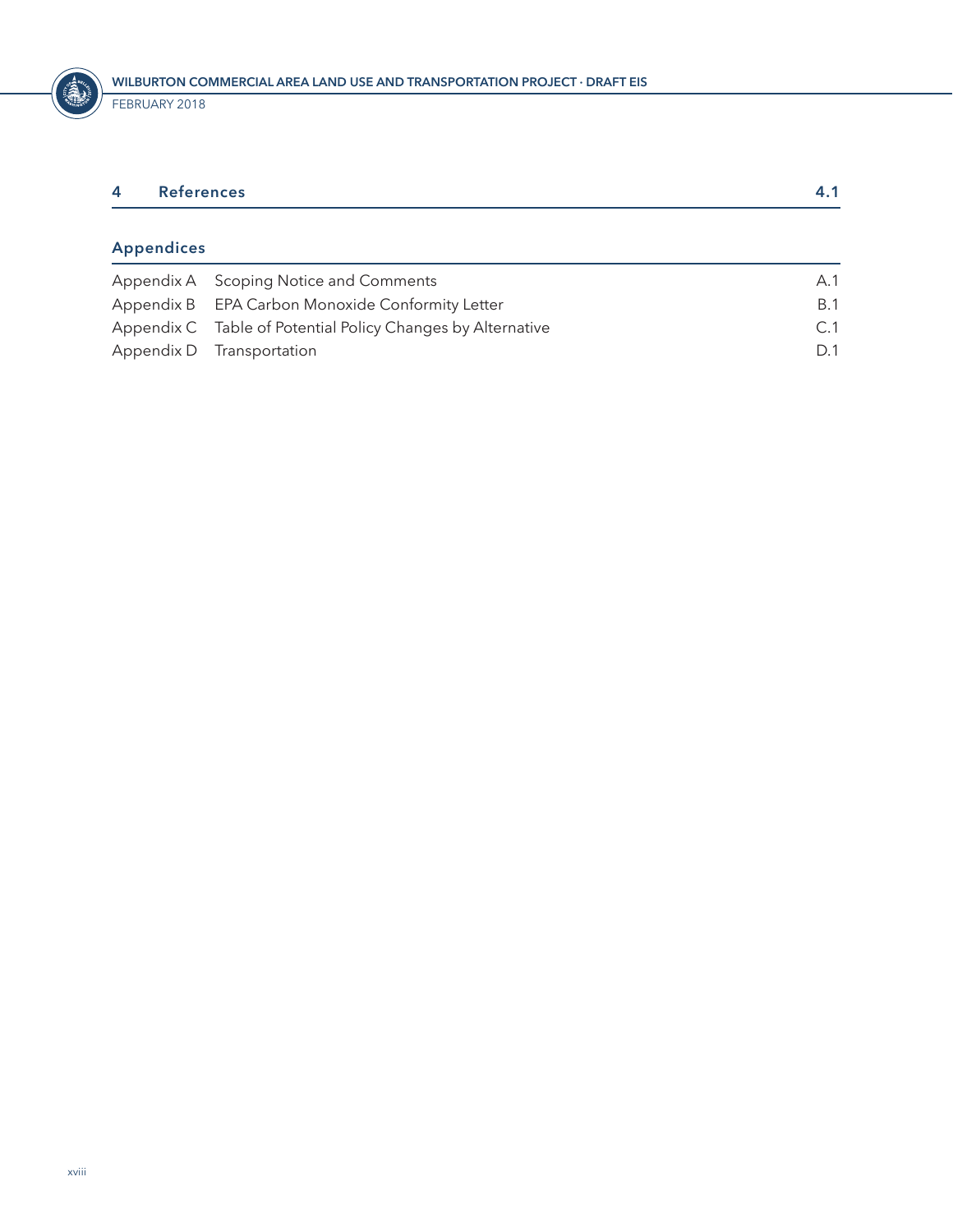<span id="page-17-0"></span>

| 4 | References        |  |
|---|-------------------|--|
|   |                   |  |
|   | <b>Appendices</b> |  |

| Appendix A Scoping Notice and Comments                      | A.1        |
|-------------------------------------------------------------|------------|
| Appendix B EPA Carbon Monoxide Conformity Letter            | <b>B.1</b> |
| Appendix C Table of Potential Policy Changes by Alternative | C.1        |
| Appendix D Transportation                                   | D.1        |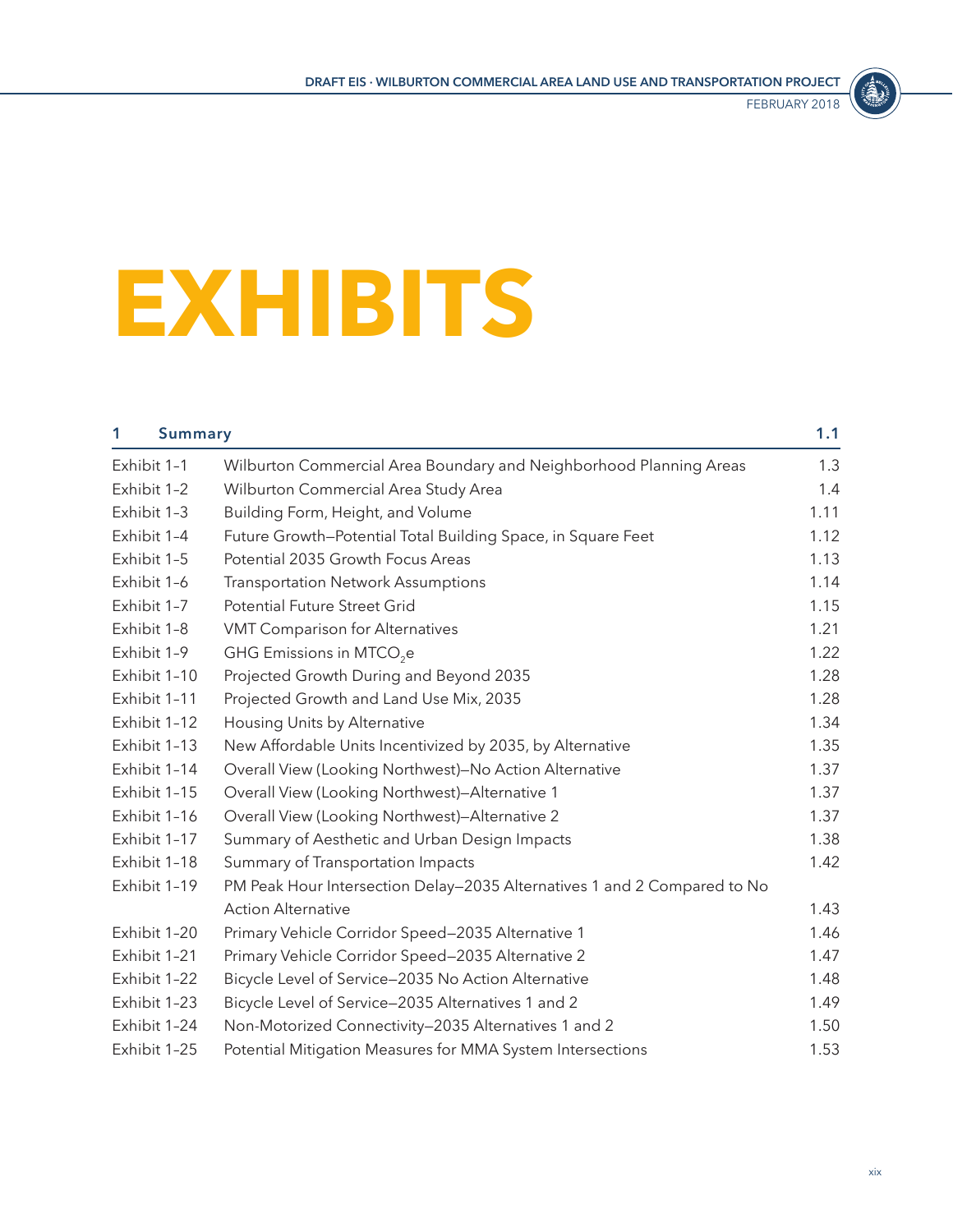

# <span id="page-18-0"></span>**EXHIBITS**

| 1            | <b>Summary</b> |                                                                          | 1.1  |
|--------------|----------------|--------------------------------------------------------------------------|------|
| Exhibit 1-1  |                | Wilburton Commercial Area Boundary and Neighborhood Planning Areas       | 1.3  |
| Exhibit 1-2  |                | Wilburton Commercial Area Study Area                                     | 1.4  |
| Exhibit 1-3  |                | Building Form, Height, and Volume                                        | 1.11 |
| Exhibit 1-4  |                | Future Growth-Potential Total Building Space, in Square Feet             | 1.12 |
| Exhibit 1-5  |                | Potential 2035 Growth Focus Areas                                        | 1.13 |
| Exhibit 1-6  |                | <b>Transportation Network Assumptions</b>                                | 1.14 |
| Exhibit 1-7  |                | Potential Future Street Grid                                             | 1.15 |
| Exhibit 1-8  |                | <b>VMT Comparison for Alternatives</b>                                   | 1.21 |
| Exhibit 1-9  |                | GHG Emissions in MTCO <sub>2</sub> e                                     | 1.22 |
| Exhibit 1-10 |                | Projected Growth During and Beyond 2035                                  | 1.28 |
| Exhibit 1-11 |                | Projected Growth and Land Use Mix, 2035                                  | 1.28 |
| Exhibit 1-12 |                | Housing Units by Alternative                                             | 1.34 |
| Exhibit 1-13 |                | New Affordable Units Incentivized by 2035, by Alternative                | 1.35 |
| Exhibit 1-14 |                | Overall View (Looking Northwest)-No Action Alternative                   | 1.37 |
| Exhibit 1-15 |                | Overall View (Looking Northwest)-Alternative 1                           | 1.37 |
| Exhibit 1-16 |                | Overall View (Looking Northwest)-Alternative 2                           | 1.37 |
| Exhibit 1-17 |                | Summary of Aesthetic and Urban Design Impacts                            | 1.38 |
| Exhibit 1-18 |                | Summary of Transportation Impacts                                        | 1.42 |
| Exhibit 1-19 |                | PM Peak Hour Intersection Delay-2035 Alternatives 1 and 2 Compared to No |      |
|              |                | <b>Action Alternative</b>                                                | 1.43 |
| Exhibit 1-20 |                | Primary Vehicle Corridor Speed-2035 Alternative 1                        | 1.46 |
| Exhibit 1-21 |                | Primary Vehicle Corridor Speed-2035 Alternative 2                        | 1.47 |
| Exhibit 1-22 |                | Bicycle Level of Service-2035 No Action Alternative                      | 1.48 |
| Exhibit 1-23 |                | Bicycle Level of Service-2035 Alternatives 1 and 2                       | 1.49 |
| Exhibit 1-24 |                | Non-Motorized Connectivity-2035 Alternatives 1 and 2                     | 1.50 |
| Exhibit 1-25 |                | Potential Mitigation Measures for MMA System Intersections               | 1.53 |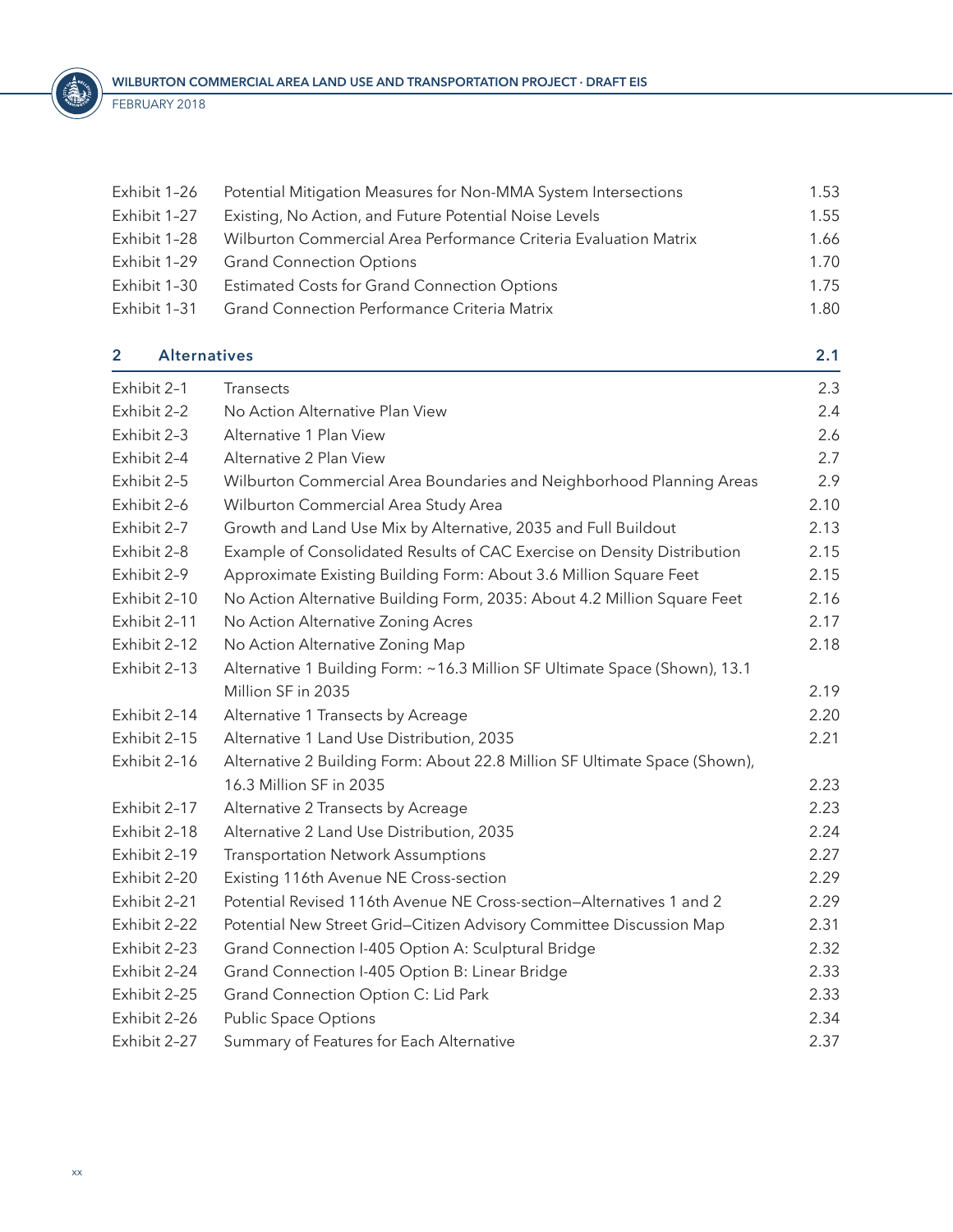<span id="page-19-0"></span>

| Exhibit 1-26 | Potential Mitigation Measures for Non-MMA System Intersections   | 1.53 |
|--------------|------------------------------------------------------------------|------|
| Exhibit 1-27 | Existing, No Action, and Future Potential Noise Levels           | 1.55 |
| Exhibit 1-28 | Wilburton Commercial Area Performance Criteria Evaluation Matrix | 1.66 |
| Exhibit 1-29 | <b>Grand Connection Options</b>                                  | 1.70 |
| Exhibit 1-30 | <b>Estimated Costs for Grand Connection Options</b>              | 1.75 |
| Exhibit 1-31 | <b>Grand Connection Performance Criteria Matrix</b>              | 1.80 |
|              |                                                                  |      |

| $\mathbf{2}$             | <b>Alternatives</b>                                                        |      |
|--------------------------|----------------------------------------------------------------------------|------|
| Exhibit 2-1<br>Transects |                                                                            | 2.3  |
| Exhibit 2-2              | No Action Alternative Plan View                                            | 2.4  |
| Exhibit 2-3              | Alternative 1 Plan View                                                    | 2.6  |
| Exhibit 2-4              | Alternative 2 Plan View                                                    | 2.7  |
| Exhibit 2-5              | Wilburton Commercial Area Boundaries and Neighborhood Planning Areas       | 2.9  |
| Exhibit 2-6              | Wilburton Commercial Area Study Area                                       | 2.10 |
| Exhibit 2-7              | Growth and Land Use Mix by Alternative, 2035 and Full Buildout             | 2.13 |
| Exhibit 2-8              | Example of Consolidated Results of CAC Exercise on Density Distribution    | 2.15 |
| Exhibit 2-9              | Approximate Existing Building Form: About 3.6 Million Square Feet          | 2.15 |
| Exhibit 2-10             | No Action Alternative Building Form, 2035: About 4.2 Million Square Feet   | 2.16 |
| Exhibit 2-11             | No Action Alternative Zoning Acres                                         | 2.17 |
| Exhibit 2-12             | No Action Alternative Zoning Map                                           | 2.18 |
| Exhibit 2-13             | Alternative 1 Building Form: ~16.3 Million SF Ultimate Space (Shown), 13.1 |      |
|                          | Million SF in 2035                                                         | 2.19 |
| Exhibit 2-14             | Alternative 1 Transects by Acreage                                         | 2.20 |
| Exhibit 2-15             | Alternative 1 Land Use Distribution, 2035                                  | 2.21 |
| Exhibit 2-16             | Alternative 2 Building Form: About 22.8 Million SF Ultimate Space (Shown), |      |
|                          | 16.3 Million SF in 2035                                                    | 2.23 |
| Exhibit 2-17             | Alternative 2 Transects by Acreage                                         | 2.23 |
| Exhibit 2-18             | Alternative 2 Land Use Distribution, 2035                                  | 2.24 |
| Exhibit 2-19             | <b>Transportation Network Assumptions</b>                                  | 2.27 |
| Exhibit 2-20             | Existing 116th Avenue NE Cross-section                                     | 2.29 |
| Exhibit 2-21             | Potential Revised 116th Avenue NE Cross-section-Alternatives 1 and 2       | 2.29 |
| Exhibit 2-22             | Potential New Street Grid-Citizen Advisory Committee Discussion Map        | 2.31 |
| Exhibit 2-23             | Grand Connection I-405 Option A: Sculptural Bridge                         | 2.32 |
| Exhibit 2-24             | Grand Connection I-405 Option B: Linear Bridge                             | 2.33 |
| Exhibit 2-25             | Grand Connection Option C: Lid Park                                        | 2.33 |
| Exhibit 2-26             | <b>Public Space Options</b>                                                | 2.34 |
| Exhibit 2-27             | Summary of Features for Each Alternative                                   | 2.37 |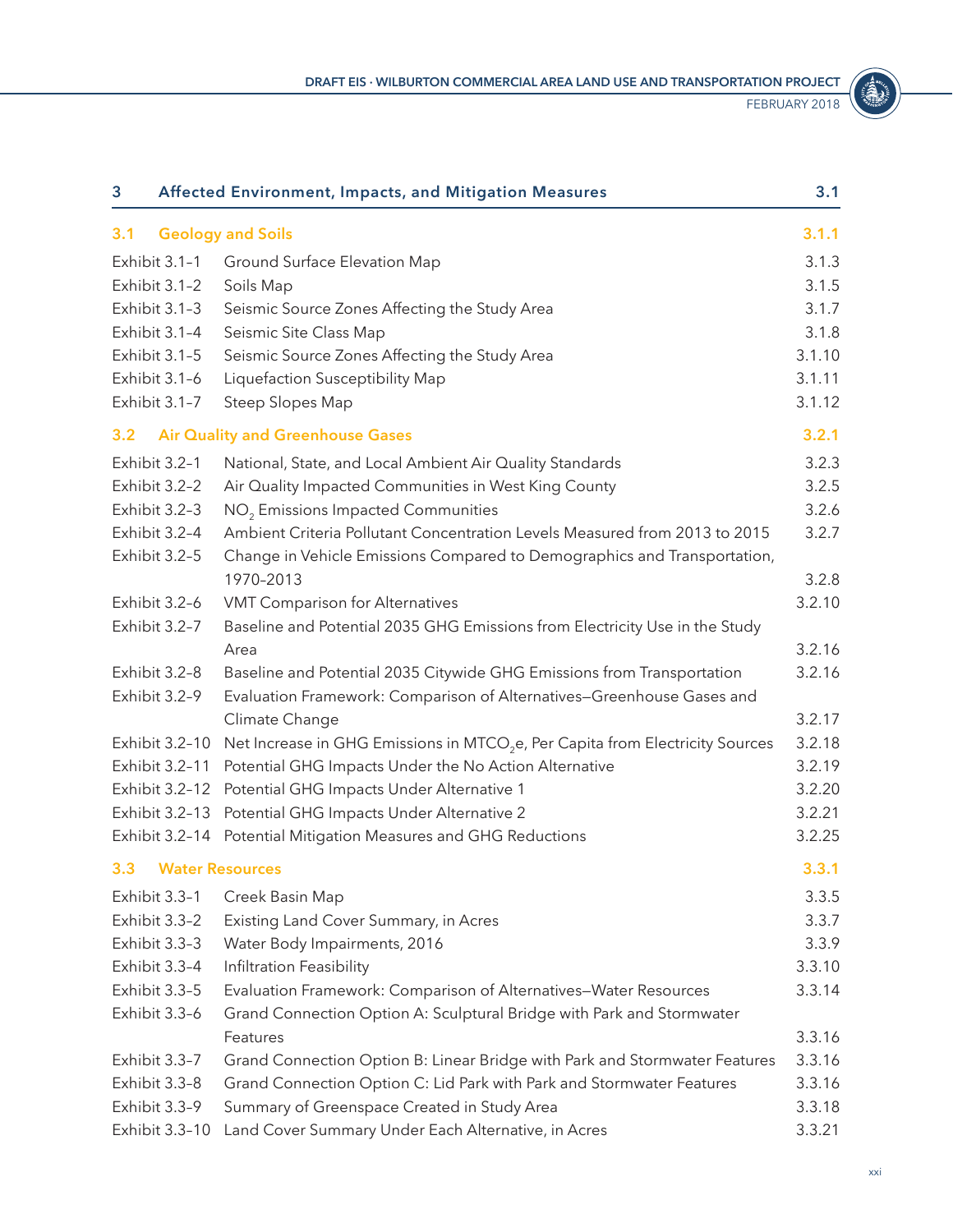FEBRUARY 2018

STATE OF

<span id="page-20-0"></span>

| 3              | Affected Environment, Impacts, and Mitigation Measures                                    | 3.1    |
|----------------|-------------------------------------------------------------------------------------------|--------|
| 3.1            | <b>Geology and Soils</b>                                                                  | 3.1.1  |
| Exhibit 3.1-1  | Ground Surface Elevation Map                                                              | 3.1.3  |
| Exhibit 3.1-2  | Soils Map                                                                                 | 3.1.5  |
| Exhibit 3.1-3  | Seismic Source Zones Affecting the Study Area                                             | 3.1.7  |
| Exhibit 3.1-4  | Seismic Site Class Map                                                                    | 3.1.8  |
| Exhibit 3.1-5  | Seismic Source Zones Affecting the Study Area                                             | 3.1.10 |
| Exhibit 3.1-6  | Liquefaction Susceptibility Map                                                           | 3.1.11 |
| Exhibit 3.1-7  | Steep Slopes Map                                                                          | 3.1.12 |
| 3.2            | <b>Air Quality and Greenhouse Gases</b>                                                   | 3.2.1  |
| Exhibit 3.2-1  | National, State, and Local Ambient Air Quality Standards                                  | 3.2.3  |
| Exhibit 3.2-2  | Air Quality Impacted Communities in West King County                                      | 3.2.5  |
| Exhibit 3.2-3  | NO <sub>2</sub> Emissions Impacted Communities                                            | 3.2.6  |
| Exhibit 3.2-4  | Ambient Criteria Pollutant Concentration Levels Measured from 2013 to 2015                | 3.2.7  |
| Exhibit 3.2-5  | Change in Vehicle Emissions Compared to Demographics and Transportation,                  |        |
|                | 1970-2013                                                                                 | 3.2.8  |
| Exhibit 3.2-6  | VMT Comparison for Alternatives                                                           | 3.2.10 |
| Exhibit 3.2-7  | Baseline and Potential 2035 GHG Emissions from Electricity Use in the Study               |        |
|                | Area                                                                                      | 3.2.16 |
| Exhibit 3.2-8  | Baseline and Potential 2035 Citywide GHG Emissions from Transportation                    | 3.2.16 |
| Exhibit 3.2-9  | Evaluation Framework: Comparison of Alternatives-Greenhouse Gases and                     |        |
|                | Climate Change                                                                            | 3.2.17 |
| Exhibit 3.2-10 | Net Increase in GHG Emissions in MTCO <sub>2</sub> e, Per Capita from Electricity Sources | 3.2.18 |
| Exhibit 3.2-11 | Potential GHG Impacts Under the No Action Alternative                                     | 3.2.19 |
| Exhibit 3.2-12 | Potential GHG Impacts Under Alternative 1                                                 | 3.2.20 |
|                | Exhibit 3.2-13 Potential GHG Impacts Under Alternative 2                                  | 3.2.21 |
|                | Exhibit 3.2-14 Potential Mitigation Measures and GHG Reductions                           | 3.2.25 |
| 3.3            | <b>Water Resources</b>                                                                    | 3.3.1  |
| Exhibit 3.3-1  | Creek Basin Map                                                                           | 3.3.5  |
| Exhibit 3.3-2  | Existing Land Cover Summary, in Acres                                                     | 3.3.7  |
| Exhibit 3.3-3  | Water Body Impairments, 2016                                                              | 3.3.9  |
| Exhibit 3.3-4  | Infiltration Feasibility                                                                  | 3.3.10 |
| Exhibit 3.3-5  | Evaluation Framework: Comparison of Alternatives-Water Resources                          | 3.3.14 |
| Exhibit 3.3-6  | Grand Connection Option A: Sculptural Bridge with Park and Stormwater                     |        |
|                | Features                                                                                  | 3.3.16 |
| Exhibit 3.3-7  | Grand Connection Option B: Linear Bridge with Park and Stormwater Features                | 3.3.16 |
| Exhibit 3.3-8  | Grand Connection Option C: Lid Park with Park and Stormwater Features                     | 3.3.16 |
| Exhibit 3.3-9  | Summary of Greenspace Created in Study Area                                               | 3.3.18 |
| Exhibit 3.3-10 | Land Cover Summary Under Each Alternative, in Acres                                       | 3.3.21 |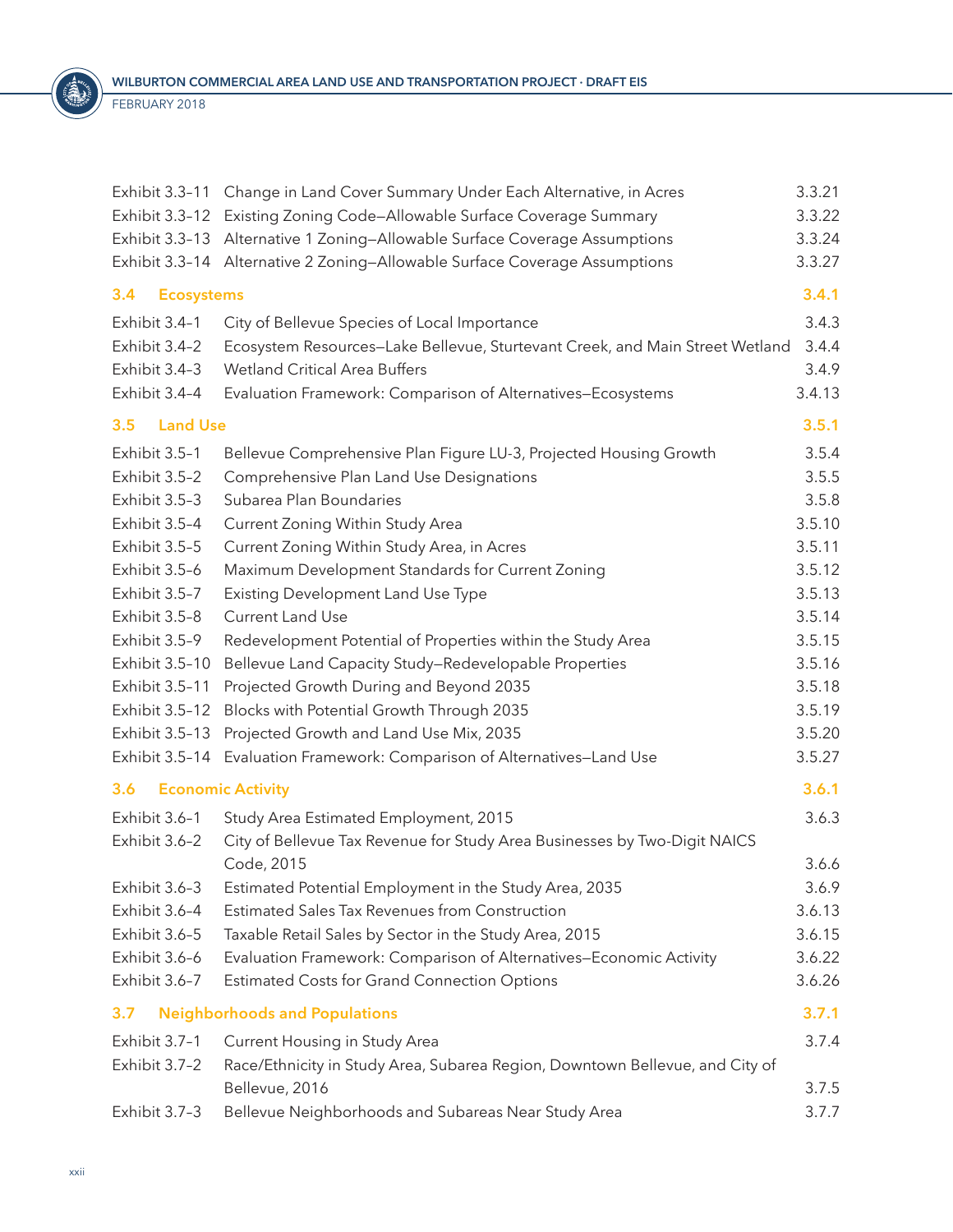<span id="page-21-0"></span>

|                          | Exhibit 3.3-11 Change in Land Cover Summary Under Each Alternative, in Acres | 3.3.21 |
|--------------------------|------------------------------------------------------------------------------|--------|
|                          | Exhibit 3.3-12 Existing Zoning Code-Allowable Surface Coverage Summary       |        |
|                          | Exhibit 3.3-13 Alternative 1 Zoning-Allowable Surface Coverage Assumptions   | 3.3.24 |
|                          | Exhibit 3.3-14 Alternative 2 Zoning-Allowable Surface Coverage Assumptions   | 3.3.27 |
| 3.4<br><b>Ecosystems</b> |                                                                              | 3.4.1  |
| Exhibit 3.4-1            | City of Bellevue Species of Local Importance                                 | 3.4.3  |
| Exhibit 3.4-2            | Ecosystem Resources-Lake Bellevue, Sturtevant Creek, and Main Street Wetland | 3.4.4  |
| Exhibit 3.4-3            | <b>Wetland Critical Area Buffers</b>                                         | 3.4.9  |
| Exhibit 3.4-4            | Evaluation Framework: Comparison of Alternatives-Ecosystems                  | 3.4.13 |
| <b>Land Use</b><br>3.5   |                                                                              | 3.5.1  |
| Exhibit 3.5-1            | Bellevue Comprehensive Plan Figure LU-3, Projected Housing Growth            | 3.5.4  |
| Exhibit 3.5-2            | Comprehensive Plan Land Use Designations                                     | 3.5.5  |
| Exhibit 3.5-3            | Subarea Plan Boundaries                                                      | 3.5.8  |
| Exhibit 3.5-4            | Current Zoning Within Study Area                                             | 3.5.10 |
| Exhibit 3.5-5            | Current Zoning Within Study Area, in Acres                                   | 3.5.11 |
| Exhibit 3.5-6            | Maximum Development Standards for Current Zoning                             | 3.5.12 |
| Exhibit 3.5-7            | Existing Development Land Use Type                                           | 3.5.13 |
| Exhibit 3.5-8            | <b>Current Land Use</b>                                                      | 3.5.14 |
| Exhibit 3.5-9            | Redevelopment Potential of Properties within the Study Area                  | 3.5.15 |
| Exhibit 3.5-10           | Bellevue Land Capacity Study-Redevelopable Properties                        | 3.5.16 |
| Exhibit 3.5-11           | Projected Growth During and Beyond 2035                                      | 3.5.18 |
| Exhibit 3.5-12           | Blocks with Potential Growth Through 2035                                    | 3.5.19 |
| Exhibit 3.5-13           | Projected Growth and Land Use Mix, 2035                                      | 3.5.20 |
|                          | Exhibit 3.5-14 Evaluation Framework: Comparison of Alternatives-Land Use     | 3.5.27 |
| 3.6                      | <b>Economic Activity</b>                                                     | 3.6.1  |
| Exhibit 3.6-1            | Study Area Estimated Employment, 2015                                        | 3.6.3  |
| Exhibit 3.6-2            | City of Bellevue Tax Revenue for Study Area Businesses by Two-Digit NAICS    |        |
|                          | Code, 2015                                                                   | 3.6.6  |
| Exhibit 3.6-3            | Estimated Potential Employment in the Study Area, 2035                       | 3.6.9  |
| Exhibit 3.6-4            | <b>Estimated Sales Tax Revenues from Construction</b>                        | 3.6.13 |
| Exhibit 3.6-5            | Taxable Retail Sales by Sector in the Study Area, 2015                       | 3.6.15 |
| Exhibit 3.6-6            | Evaluation Framework: Comparison of Alternatives-Economic Activity           | 3.6.22 |
| Exhibit 3.6-7            | Estimated Costs for Grand Connection Options                                 | 3.6.26 |
| 3.7                      | <b>Neighborhoods and Populations</b>                                         | 3.7.1  |
| Exhibit 3.7-1            | Current Housing in Study Area                                                | 3.7.4  |
| Exhibit 3.7-2            | Race/Ethnicity in Study Area, Subarea Region, Downtown Bellevue, and City of |        |
|                          | Bellevue, 2016                                                               | 3.7.5  |
| Exhibit 3.7-3            | Bellevue Neighborhoods and Subareas Near Study Area                          | 3.7.7  |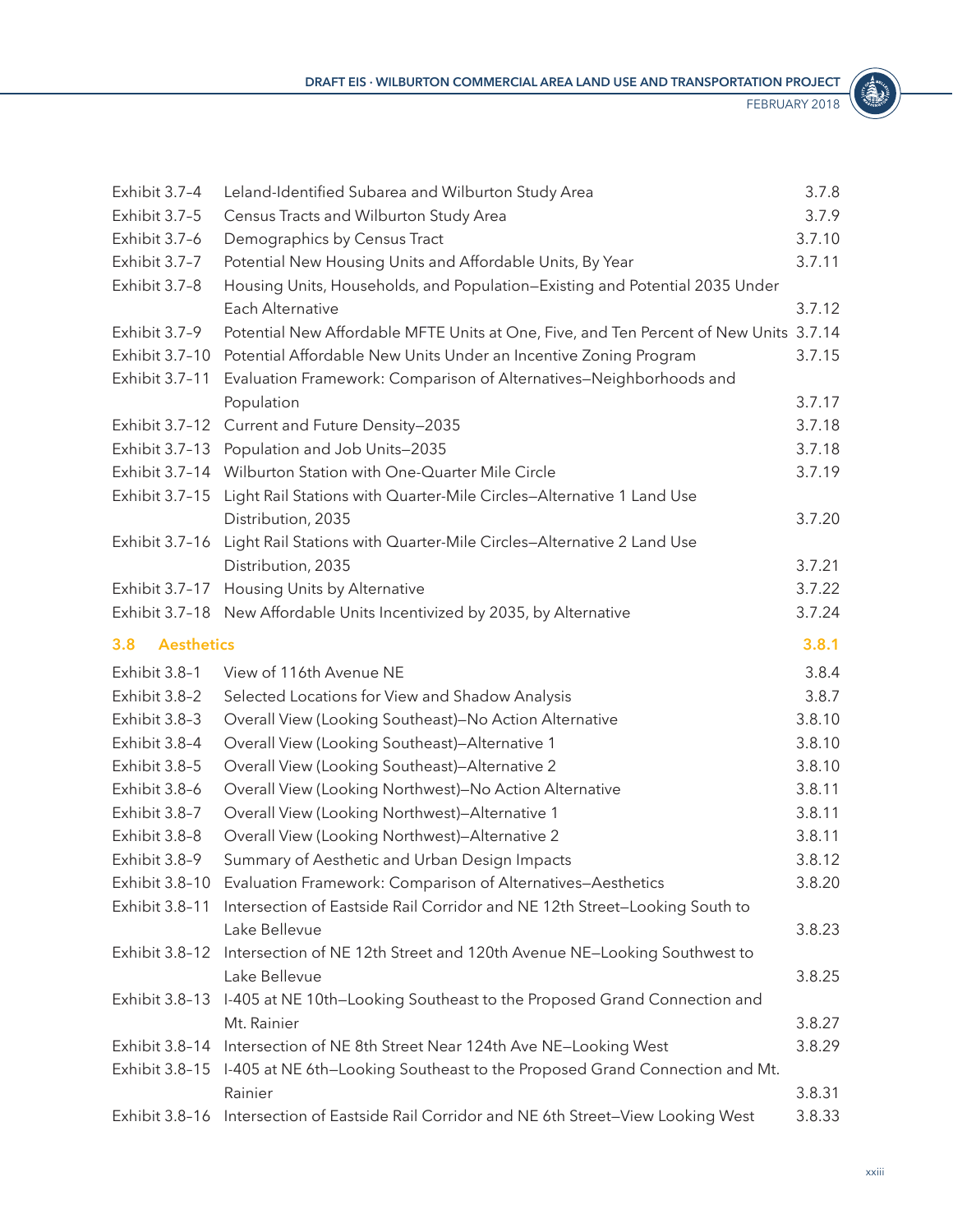| л           | ē, |
|-------------|----|
|             |    |
| <b>VING</b> |    |
|             |    |

<span id="page-22-0"></span>

| Exhibit 3.7-4            | Leland-Identified Subarea and Wilburton Study Area                                     | 3.7.8  |
|--------------------------|----------------------------------------------------------------------------------------|--------|
| Exhibit 3.7-5            | Census Tracts and Wilburton Study Area                                                 | 3.7.9  |
| Exhibit 3.7-6            | Demographics by Census Tract                                                           | 3.7.10 |
| Exhibit 3.7-7            | Potential New Housing Units and Affordable Units, By Year                              | 3.7.11 |
| Exhibit 3.7-8            | Housing Units, Households, and Population-Existing and Potential 2035 Under            |        |
|                          | Each Alternative                                                                       | 3.7.12 |
| Exhibit 3.7-9            | Potential New Affordable MFTE Units at One, Five, and Ten Percent of New Units 3.7.14  |        |
| Exhibit 3.7-10           | Potential Affordable New Units Under an Incentive Zoning Program                       | 3.7.15 |
| Exhibit 3.7-11           | Evaluation Framework: Comparison of Alternatives-Neighborhoods and                     |        |
|                          | Population                                                                             | 3.7.17 |
| Exhibit 3.7-12           | Current and Future Density-2035                                                        | 3.7.18 |
|                          | Exhibit 3.7-13 Population and Job Units-2035                                           | 3.7.18 |
|                          | Exhibit 3.7-14 Wilburton Station with One-Quarter Mile Circle                          | 3.7.19 |
| Exhibit 3.7-15           | Light Rail Stations with Quarter-Mile Circles-Alternative 1 Land Use                   |        |
|                          | Distribution, 2035                                                                     | 3.7.20 |
| Exhibit 3.7-16           | Light Rail Stations with Quarter-Mile Circles-Alternative 2 Land Use                   |        |
|                          | Distribution, 2035                                                                     | 3.7.21 |
| Exhibit 3.7-17           | Housing Units by Alternative                                                           | 3.7.22 |
| Exhibit 3.7-18           | New Affordable Units Incentivized by 2035, by Alternative                              | 3.7.24 |
| <b>Aesthetics</b><br>3.8 |                                                                                        | 3.8.1  |
| Exhibit 3.8-1            | View of 116th Avenue NE                                                                | 3.8.4  |
| Exhibit 3.8-2            | Selected Locations for View and Shadow Analysis                                        | 3.8.7  |
| Exhibit 3.8-3            | Overall View (Looking Southeast)-No Action Alternative                                 | 3.8.10 |
| Exhibit 3.8-4            | Overall View (Looking Southeast)-Alternative 1                                         | 3.8.10 |
| Exhibit 3.8-5            | Overall View (Looking Southeast)-Alternative 2                                         | 3.8.10 |
| Exhibit 3.8-6            | Overall View (Looking Northwest)-No Action Alternative                                 | 3.8.11 |
| Exhibit 3.8-7            | Overall View (Looking Northwest)-Alternative 1                                         | 3.8.11 |
| Exhibit 3.8-8            | Overall View (Looking Northwest)-Alternative 2                                         | 3.8.11 |
| Exhibit 3.8-9            | Summary of Aesthetic and Urban Design Impacts                                          | 3.8.12 |
|                          | Exhibit 3.8-10 Evaluation Framework: Comparison of Alternatives-Aesthetics             | 3.8.20 |
| Exhibit 3.8-11           | Intersection of Eastside Rail Corridor and NE 12th Street-Looking South to             |        |
|                          | Lake Bellevue                                                                          | 3.8.23 |
| Exhibit 3.8-12           | Intersection of NE 12th Street and 120th Avenue NE-Looking Southwest to                |        |
|                          | Lake Bellevue                                                                          | 3.8.25 |
|                          | Exhibit 3.8-13 I-405 at NE 10th-Looking Southeast to the Proposed Grand Connection and |        |
|                          | Mt. Rainier                                                                            | 3.8.27 |
| Exhibit 3.8-14           | Intersection of NE 8th Street Near 124th Ave NE-Looking West                           | 3.8.29 |
| Exhibit 3.8-15           | I-405 at NE 6th-Looking Southeast to the Proposed Grand Connection and Mt.             |        |
|                          | Rainier                                                                                | 3.8.31 |
| Exhibit 3.8-16           | Intersection of Eastside Rail Corridor and NE 6th Street-View Looking West             | 3.8.33 |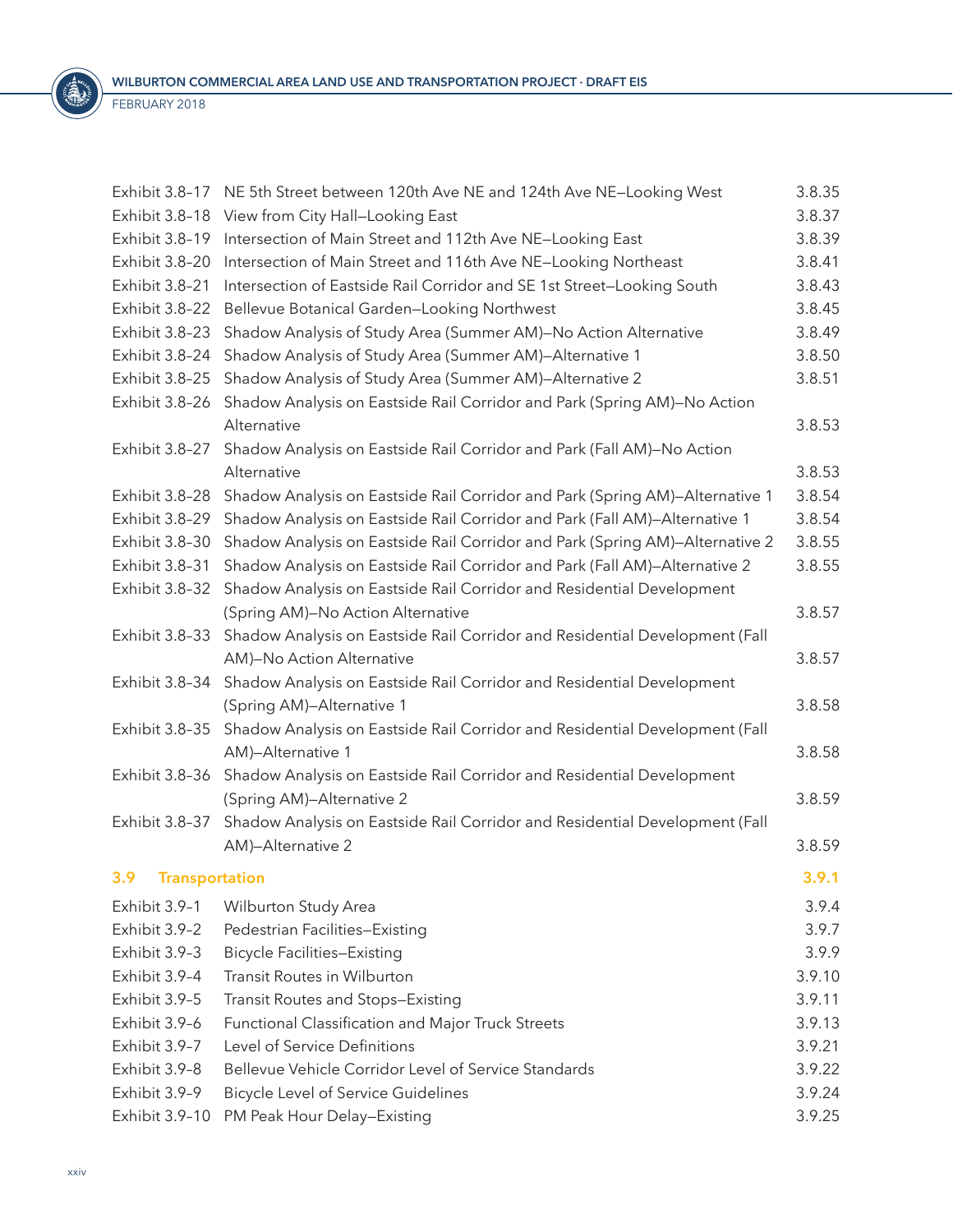<span id="page-23-0"></span>

| Exhibit 3.8-17        | NE 5th Street between 120th Ave NE and 124th Ave NE-Looking West             | 3.8.35 |
|-----------------------|------------------------------------------------------------------------------|--------|
| Exhibit 3.8-18        | View from City Hall-Looking East                                             | 3.8.37 |
| Exhibit 3.8-19        | Intersection of Main Street and 112th Ave NE-Looking East                    | 3.8.39 |
| Exhibit 3.8-20        | Intersection of Main Street and 116th Ave NE-Looking Northeast               | 3.8.41 |
| Exhibit 3.8-21        | Intersection of Eastside Rail Corridor and SE 1st Street-Looking South       | 3.8.43 |
| Exhibit 3.8-22        | Bellevue Botanical Garden-Looking Northwest                                  | 3.8.45 |
| Exhibit 3.8-23        | Shadow Analysis of Study Area (Summer AM)-No Action Alternative              | 3.8.49 |
| Exhibit 3.8-24        | Shadow Analysis of Study Area (Summer AM)-Alternative 1                      | 3.8.50 |
| Exhibit 3.8-25        | Shadow Analysis of Study Area (Summer AM)-Alternative 2                      | 3.8.51 |
| Exhibit 3.8-26        | Shadow Analysis on Eastside Rail Corridor and Park (Spring AM)-No Action     |        |
|                       | Alternative                                                                  | 3.8.53 |
| Exhibit 3.8-27        | Shadow Analysis on Eastside Rail Corridor and Park (Fall AM)-No Action       |        |
|                       | Alternative                                                                  | 3.8.53 |
| Exhibit 3.8-28        | Shadow Analysis on Eastside Rail Corridor and Park (Spring AM)-Alternative 1 | 3.8.54 |
| Exhibit 3.8-29        | Shadow Analysis on Eastside Rail Corridor and Park (Fall AM)-Alternative 1   | 3.8.54 |
| Exhibit 3.8-30        | Shadow Analysis on Eastside Rail Corridor and Park (Spring AM)-Alternative 2 | 3.8.55 |
| Exhibit 3.8-31        | Shadow Analysis on Eastside Rail Corridor and Park (Fall AM)-Alternative 2   | 3.8.55 |
| Exhibit 3.8-32        | Shadow Analysis on Eastside Rail Corridor and Residential Development        |        |
|                       | (Spring AM)-No Action Alternative                                            | 3.8.57 |
| Exhibit 3.8-33        | Shadow Analysis on Eastside Rail Corridor and Residential Development (Fall  |        |
|                       | AM)-No Action Alternative                                                    | 3.8.57 |
| Exhibit 3.8-34        | Shadow Analysis on Eastside Rail Corridor and Residential Development        |        |
|                       | (Spring AM)-Alternative 1                                                    | 3.8.58 |
| Exhibit 3.8-35        | Shadow Analysis on Eastside Rail Corridor and Residential Development (Fall  |        |
|                       | AM)-Alternative 1                                                            | 3.8.58 |
| Exhibit 3.8-36        | Shadow Analysis on Eastside Rail Corridor and Residential Development        |        |
|                       | (Spring AM)-Alternative 2                                                    | 3.8.59 |
| Exhibit 3.8-37        | Shadow Analysis on Eastside Rail Corridor and Residential Development (Fall  |        |
|                       | AM)-Alternative 2                                                            | 3.8.59 |
| 3.9<br>Transportation |                                                                              | 3.9.1  |
| Exhibit 3.9-1         | Wilburton Study Area                                                         | 3.9.4  |
| Exhibit 3.9-2         | Pedestrian Facilities-Existing                                               | 3.9.7  |
| Exhibit 3.9-3         | <b>Bicycle Facilities-Existing</b>                                           | 3.9.9  |
| Exhibit 3.9-4         | <b>Transit Routes in Wilburton</b>                                           | 3.9.10 |
| Exhibit 3.9-5         | Transit Routes and Stops-Existing                                            | 3.9.11 |
| Exhibit 3.9-6         | Functional Classification and Major Truck Streets                            | 3.9.13 |
| Exhibit 3.9-7         | Level of Service Definitions                                                 | 3.9.21 |
| Exhibit 3.9-8         | Bellevue Vehicle Corridor Level of Service Standards                         | 3.9.22 |
| Exhibit 3.9-9         | <b>Bicycle Level of Service Guidelines</b>                                   | 3.9.24 |
| Exhibit 3.9-10        | PM Peak Hour Delay-Existing                                                  | 3.9.25 |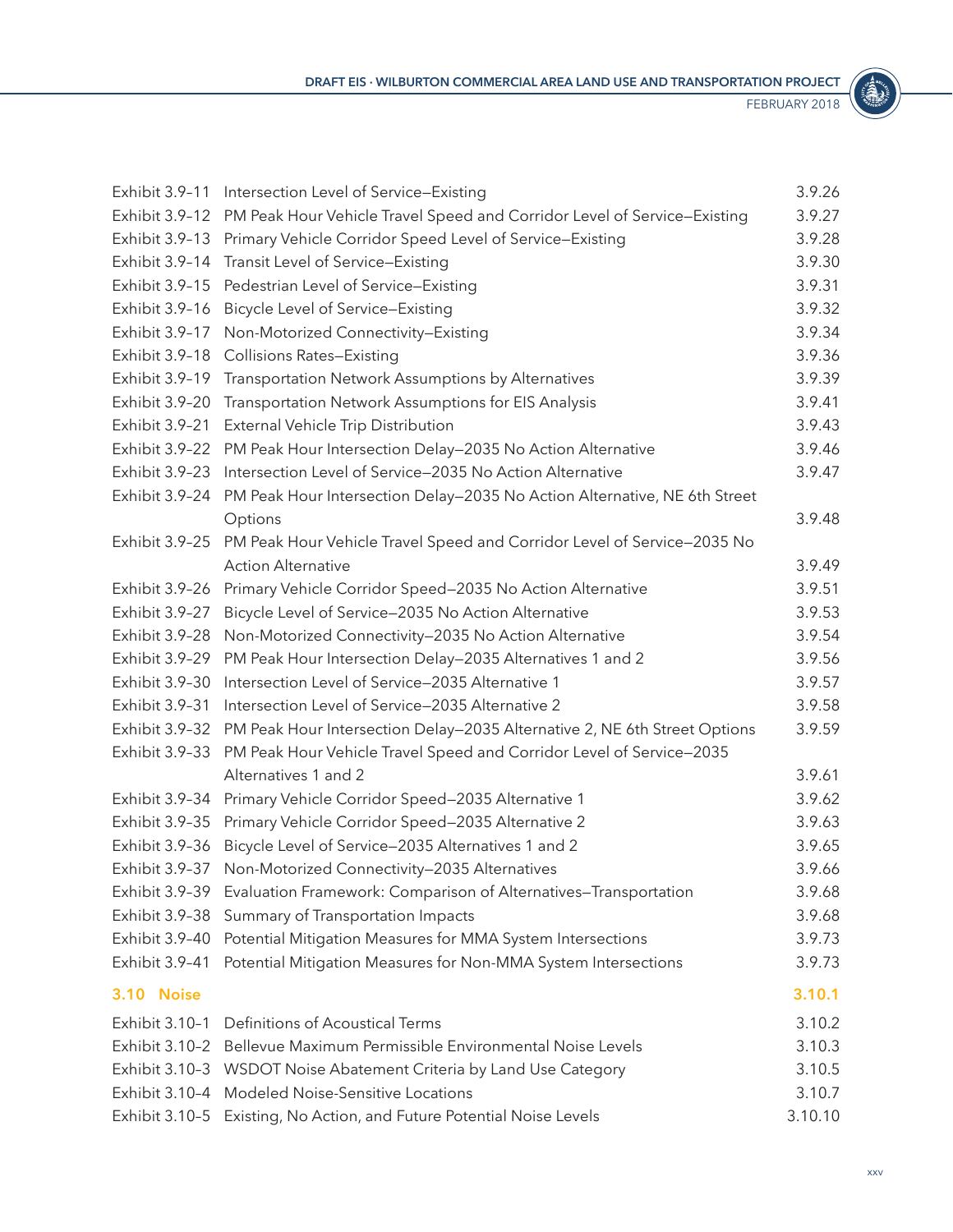

<span id="page-24-0"></span>

| Exhibit 3.9-11 | Intersection Level of Service-Existing                                    | 3.9.26  |
|----------------|---------------------------------------------------------------------------|---------|
| Exhibit 3.9-12 | PM Peak Hour Vehicle Travel Speed and Corridor Level of Service-Existing  | 3.9.27  |
| Exhibit 3.9-13 | Primary Vehicle Corridor Speed Level of Service-Existing                  | 3.9.28  |
| Exhibit 3.9-14 | Transit Level of Service-Existing                                         | 3.9.30  |
| Exhibit 3.9-15 | Pedestrian Level of Service-Existing                                      | 3.9.31  |
| Exhibit 3.9-16 | Bicycle Level of Service-Existing                                         | 3.9.32  |
| Exhibit 3.9-17 | Non-Motorized Connectivity-Existing                                       | 3.9.34  |
| Exhibit 3.9-18 | <b>Collisions Rates-Existing</b>                                          | 3.9.36  |
| Exhibit 3.9-19 | Transportation Network Assumptions by Alternatives                        | 3.9.39  |
| Exhibit 3.9-20 | Transportation Network Assumptions for EIS Analysis                       | 3.9.41  |
| Exhibit 3.9-21 | External Vehicle Trip Distribution                                        | 3.9.43  |
| Exhibit 3.9-22 | PM Peak Hour Intersection Delay-2035 No Action Alternative                | 3.9.46  |
| Exhibit 3.9-23 | Intersection Level of Service-2035 No Action Alternative                  | 3.9.47  |
| Exhibit 3.9-24 | PM Peak Hour Intersection Delay-2035 No Action Alternative, NE 6th Street |         |
|                | Options                                                                   | 3.9.48  |
| Exhibit 3.9-25 | PM Peak Hour Vehicle Travel Speed and Corridor Level of Service-2035 No   |         |
|                | <b>Action Alternative</b>                                                 | 3.9.49  |
| Exhibit 3.9-26 | Primary Vehicle Corridor Speed-2035 No Action Alternative                 | 3.9.51  |
| Exhibit 3.9-27 | Bicycle Level of Service-2035 No Action Alternative                       | 3.9.53  |
| Exhibit 3.9-28 | Non-Motorized Connectivity-2035 No Action Alternative                     | 3.9.54  |
| Exhibit 3.9-29 | PM Peak Hour Intersection Delay-2035 Alternatives 1 and 2                 | 3.9.56  |
| Exhibit 3.9-30 | Intersection Level of Service-2035 Alternative 1                          | 3.9.57  |
| Exhibit 3.9-31 | Intersection Level of Service-2035 Alternative 2                          | 3.9.58  |
| Exhibit 3.9-32 | PM Peak Hour Intersection Delay-2035 Alternative 2, NE 6th Street Options | 3.9.59  |
| Exhibit 3.9-33 | PM Peak Hour Vehicle Travel Speed and Corridor Level of Service-2035      |         |
|                | Alternatives 1 and 2                                                      | 3.9.61  |
| Exhibit 3.9-34 | Primary Vehicle Corridor Speed-2035 Alternative 1                         | 3.9.62  |
| Exhibit 3.9-35 | Primary Vehicle Corridor Speed-2035 Alternative 2                         | 3.9.63  |
| Exhibit 3.9-36 | Bicycle Level of Service-2035 Alternatives 1 and 2                        | 3.9.65  |
| Exhibit 3.9-37 | Non-Motorized Connectivity-2035 Alternatives                              | 3.9.66  |
| Exhibit 3.9-39 | Evaluation Framework: Comparison of Alternatives-Transportation           | 3.9.68  |
| Exhibit 3.9-38 | Summary of Transportation Impacts                                         | 3.9.68  |
| Exhibit 3.9-40 | Potential Mitigation Measures for MMA System Intersections                | 3.9.73  |
| Exhibit 3.9-41 | Potential Mitigation Measures for Non-MMA System Intersections            | 3.9.73  |
| 3.10 Noise     |                                                                           | 3.10.1  |
| Exhibit 3.10-1 | Definitions of Acoustical Terms                                           | 3.10.2  |
| Exhibit 3.10-2 | Bellevue Maximum Permissible Environmental Noise Levels                   | 3.10.3  |
| Exhibit 3.10-3 | WSDOT Noise Abatement Criteria by Land Use Category                       | 3.10.5  |
| Exhibit 3.10-4 | Modeled Noise-Sensitive Locations                                         | 3.10.7  |
| Exhibit 3.10-5 | Existing, No Action, and Future Potential Noise Levels                    | 3.10.10 |